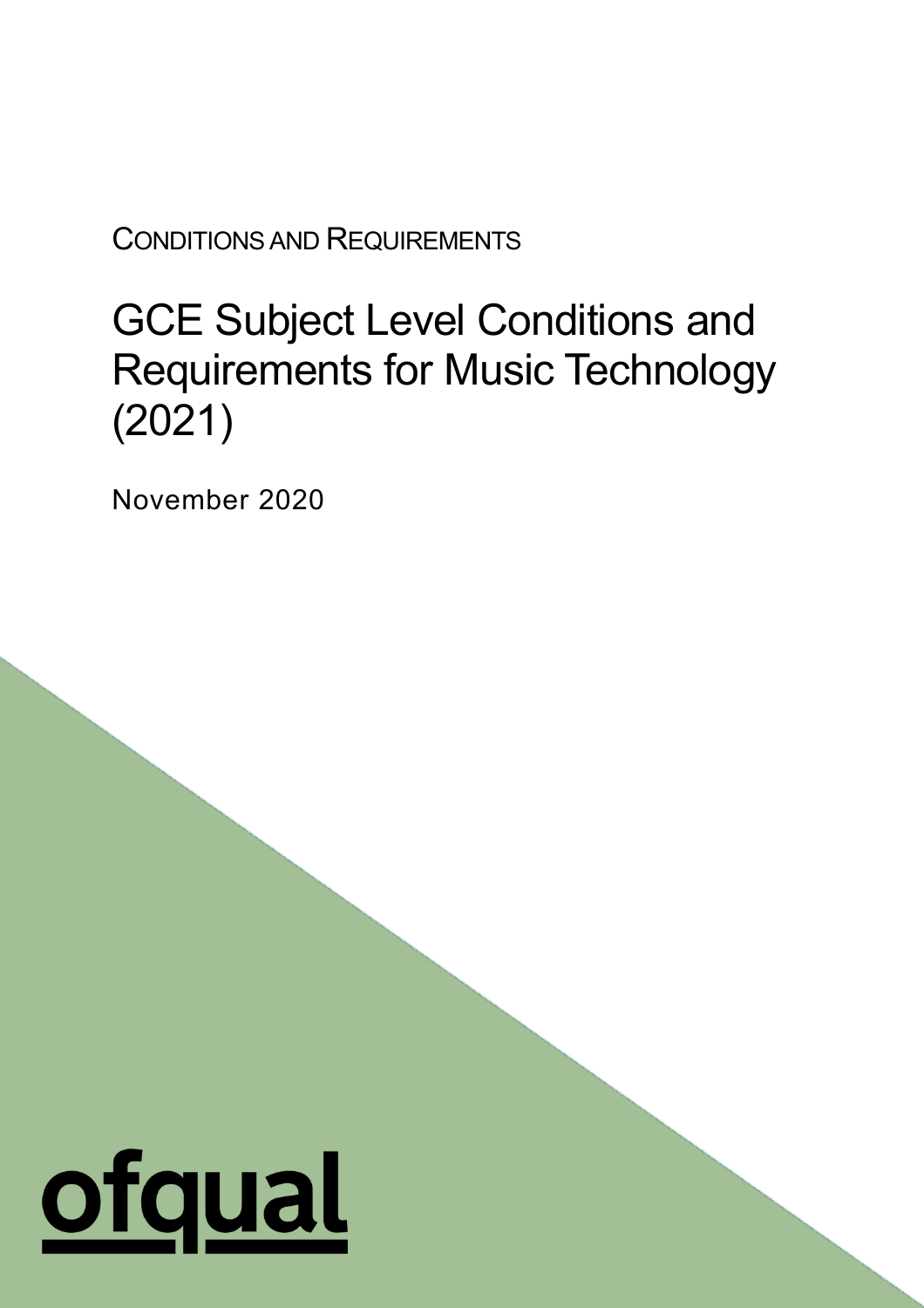CONDITIONS AND REQUIREMENTS

# GCE Subject Level Conditions and Requirements for Music Technology (2021)

1

November 2020

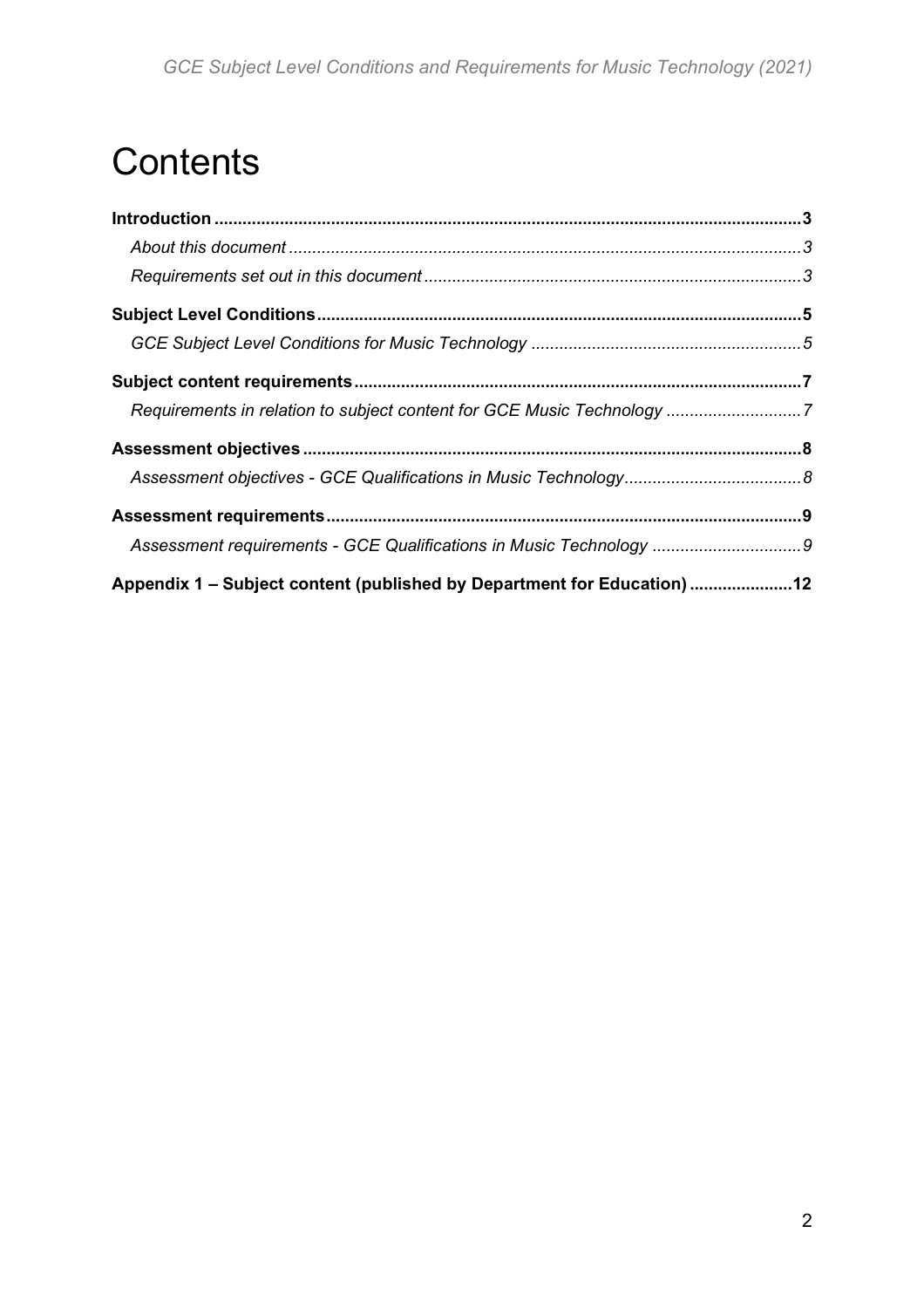# **Contents**

| Appendix 1 - Subject content (published by Department for Education) 12 |  |
|-------------------------------------------------------------------------|--|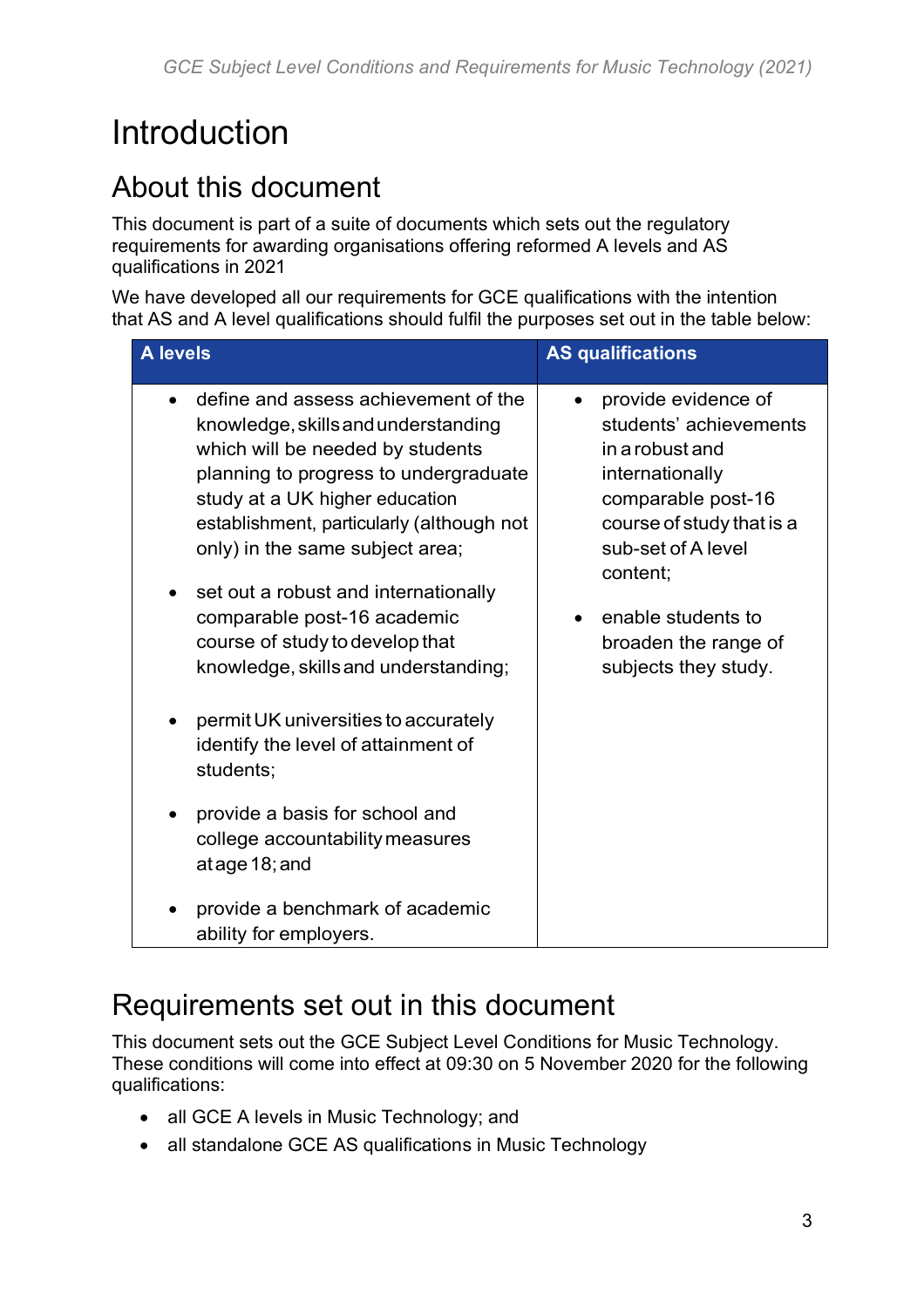# <span id="page-2-0"></span>Introduction

# <span id="page-2-1"></span>About this document

This document is part of a suite of documents which sets out the regulatory requirements for awarding organisations offering reformed A levels and AS qualifications in 2021

We have developed all our requirements for GCE qualifications with the intention that AS and A level qualifications should fulfil the purposes set out in the table below:

| <b>A</b> levels                                                                                                                                                                                                                                                                                                                                                                                                                                                                                                                                                                                                                                                                               | <b>AS qualifications</b>                                                                                                                                                                                                                       |  |
|-----------------------------------------------------------------------------------------------------------------------------------------------------------------------------------------------------------------------------------------------------------------------------------------------------------------------------------------------------------------------------------------------------------------------------------------------------------------------------------------------------------------------------------------------------------------------------------------------------------------------------------------------------------------------------------------------|------------------------------------------------------------------------------------------------------------------------------------------------------------------------------------------------------------------------------------------------|--|
| define and assess achievement of the<br>$\bullet$<br>knowledge, skills and understanding<br>which will be needed by students<br>planning to progress to undergraduate<br>study at a UK higher education<br>establishment, particularly (although not<br>only) in the same subject area;<br>set out a robust and internationally<br>٠<br>comparable post-16 academic<br>course of study to develop that<br>knowledge, skills and understanding;<br>permit UK universities to accurately<br>identify the level of attainment of<br>students;<br>provide a basis for school and<br>college accountability measures<br>atage 18; and<br>provide a benchmark of academic<br>ability for employers. | provide evidence of<br>students' achievements<br>in a robust and<br>internationally<br>comparable post-16<br>course of study that is a<br>sub-set of A level<br>content;<br>enable students to<br>broaden the range of<br>subjects they study. |  |

## <span id="page-2-2"></span>Requirements set out in this document

This document sets out the GCE Subject Level Conditions for Music Technology. These conditions will come into effect at 09:30 on 5 November 2020 for the following qualifications:

- all GCE A levels in Music Technology; and
- all standalone GCE AS qualifications in Music Technology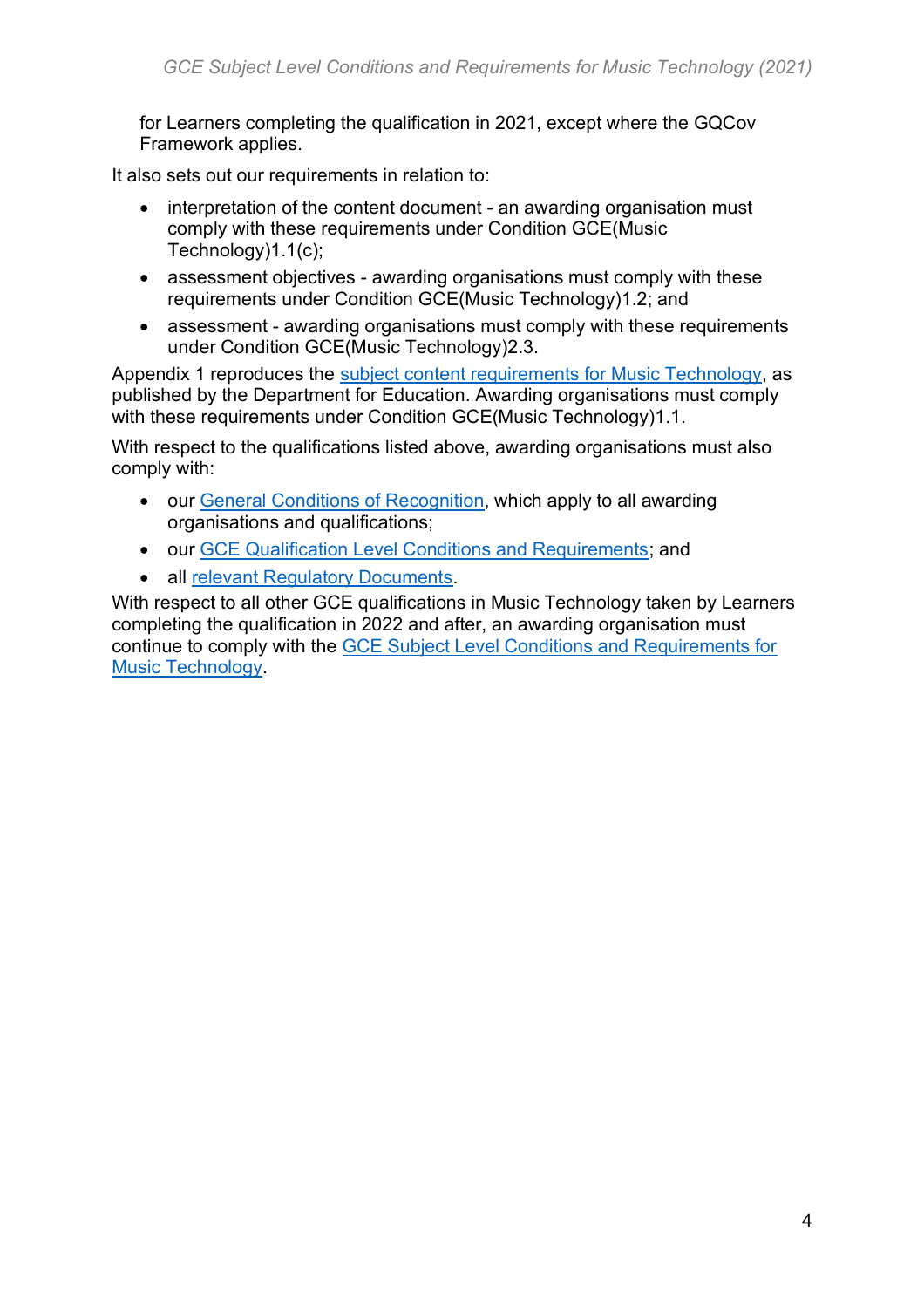for Learners completing the qualification in 2021, except where the GQCov Framework applies.

It also sets out our requirements in relation to:

- interpretation of the content document an awarding organisation must comply with these requirements under Condition GCE(Music Technology)1.1(c);
- assessment objectives awarding organisations must comply with these requirements under Condition GCE(Music Technology)1.2; and
- assessment awarding organisations must comply with these requirements under Condition GCE(Music Technology)2.3.

Appendix 1 reproduces the [subject content requirements for Music Technology,](https://www.gov.uk/government/publications/gce-as-and-a-level-music-technology) as published by the Department for Education. Awarding organisations must comply with these requirements under Condition GCE(Music Technology)1.1.

With respect to the qualifications listed above, awarding organisations must also comply with:

- our [General Conditions of Recognition,](https://www.gov.uk/government/publications/general-conditions-of-recognition) which apply to all awarding organisations and qualifications;
- our [GCE Qualification Level Conditions and Requirements;](https://www.gov.uk/government/publications/gce-qualification-level-conditions-and-requirements) and
- all [relevant Regulatory Documents.](https://www.gov.uk/guidance/regulatory-document-list)

With respect to all other GCE qualifications in Music Technology taken by Learners completing the qualification in 2022 and after, an awarding organisation must continue to comply with the [GCE Subject Level Conditions and Requirements for](https://www.gov.uk/government/publications/gce-subject-level-conditions-and-requirements-for-music-technology)  [Music Technology.](https://www.gov.uk/government/publications/gce-subject-level-conditions-and-requirements-for-music-technology)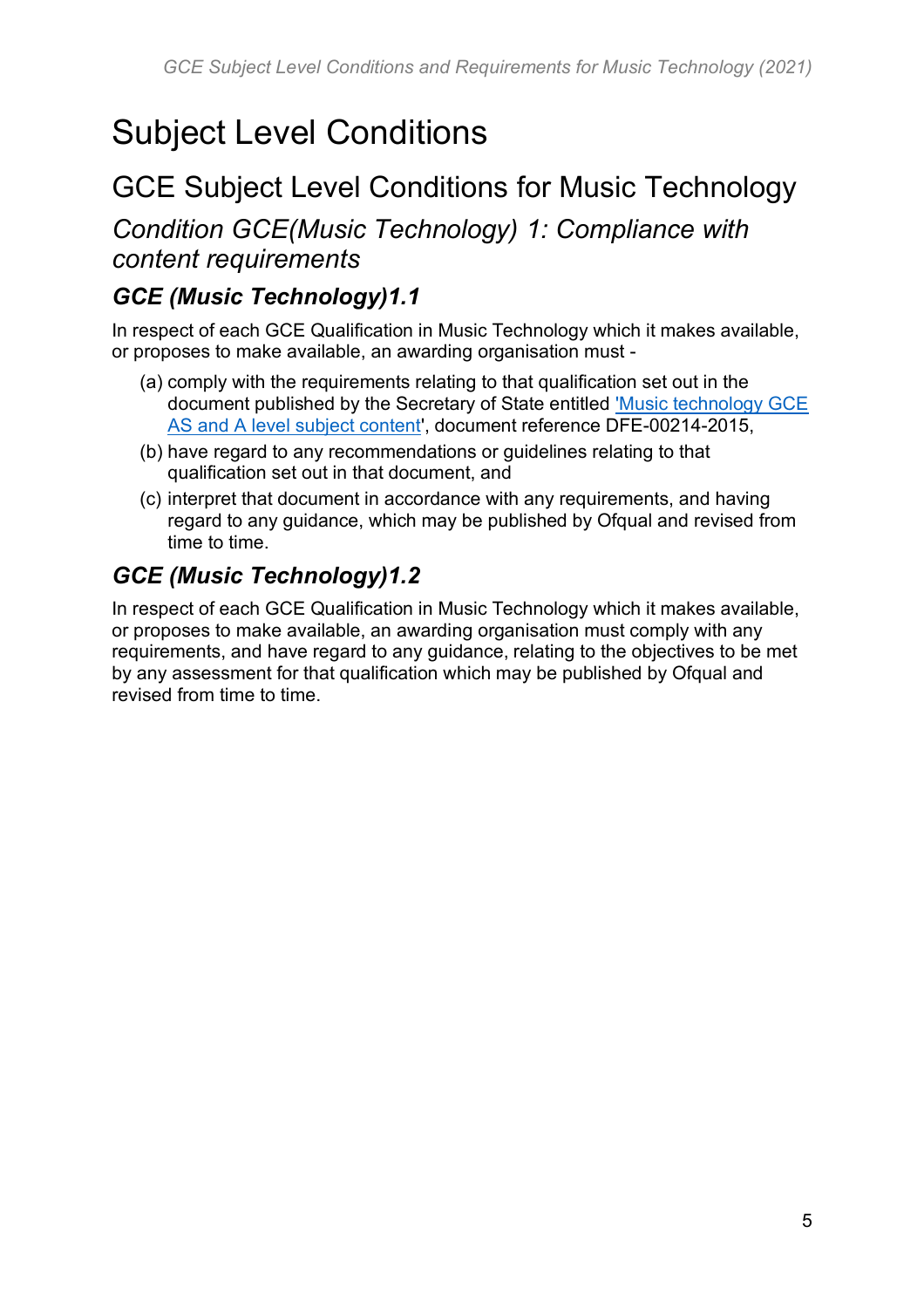# <span id="page-4-0"></span>Subject Level Conditions

## <span id="page-4-1"></span>GCE Subject Level Conditions for Music Technology

*Condition GCE(Music Technology) 1: Compliance with content requirements* 

#### *GCE (Music Technology)1.1*

In respect of each GCE Qualification in Music Technology which it makes available, or proposes to make available, an awarding organisation must -

- (a) comply with the requirements relating to that qualification set out in the document published by the Secretary of State entitled ['Music technology GCE](https://www.gov.uk/government/publications/gce-as-and-a-level-music-technology)  [AS and A level subject content'](https://www.gov.uk/government/publications/gce-as-and-a-level-music-technology), document reference DFE-00214-2015,
- (b) have regard to any recommendations or guidelines relating to that qualification set out in that document, and
- (c) interpret that document in accordance with any requirements, and having regard to any guidance, which may be published by Ofqual and revised from time to time.

#### *GCE (Music Technology)1.2*

In respect of each GCE Qualification in Music Technology which it makes available, or proposes to make available, an awarding organisation must comply with any requirements, and have regard to any guidance, relating to the objectives to be met by any assessment for that qualification which may be published by Ofqual and revised from time to time.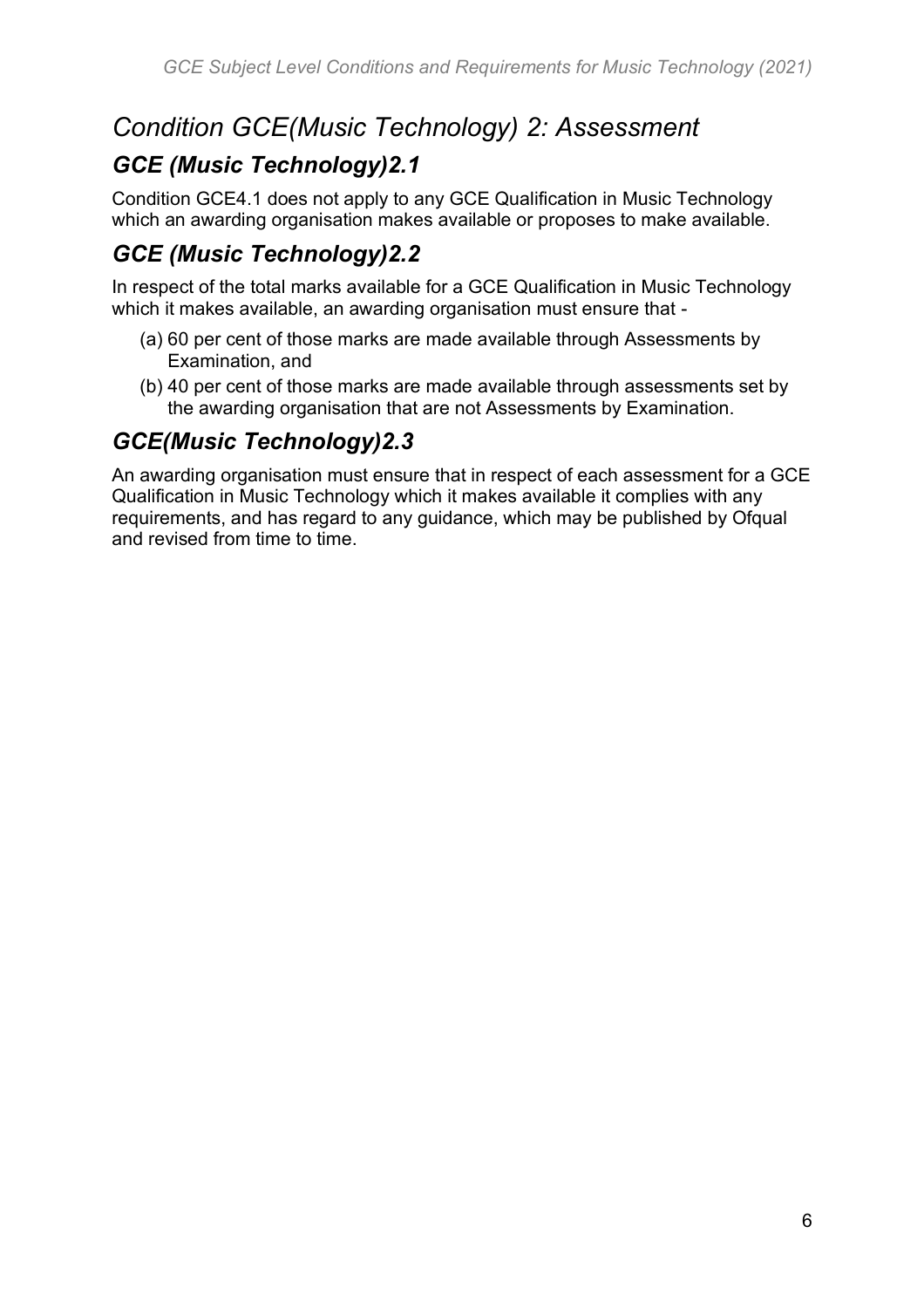## *Condition GCE(Music Technology) 2: Assessment*

#### *GCE (Music Technology)2.1*

Condition GCE4.1 does not apply to any GCE Qualification in Music Technology which an awarding organisation makes available or proposes to make available.

## *GCE (Music Technology)2.2*

In respect of the total marks available for a GCE Qualification in Music Technology which it makes available, an awarding organisation must ensure that -

- (a) 60 per cent of those marks are made available through Assessments by Examination, and
- (b) 40 per cent of those marks are made available through assessments set by the awarding organisation that are not Assessments by Examination.

#### *GCE(Music Technology)2.3*

An awarding organisation must ensure that in respect of each assessment for a GCE Qualification in Music Technology which it makes available it complies with any requirements, and has regard to any guidance, which may be published by Ofqual and revised from time to time.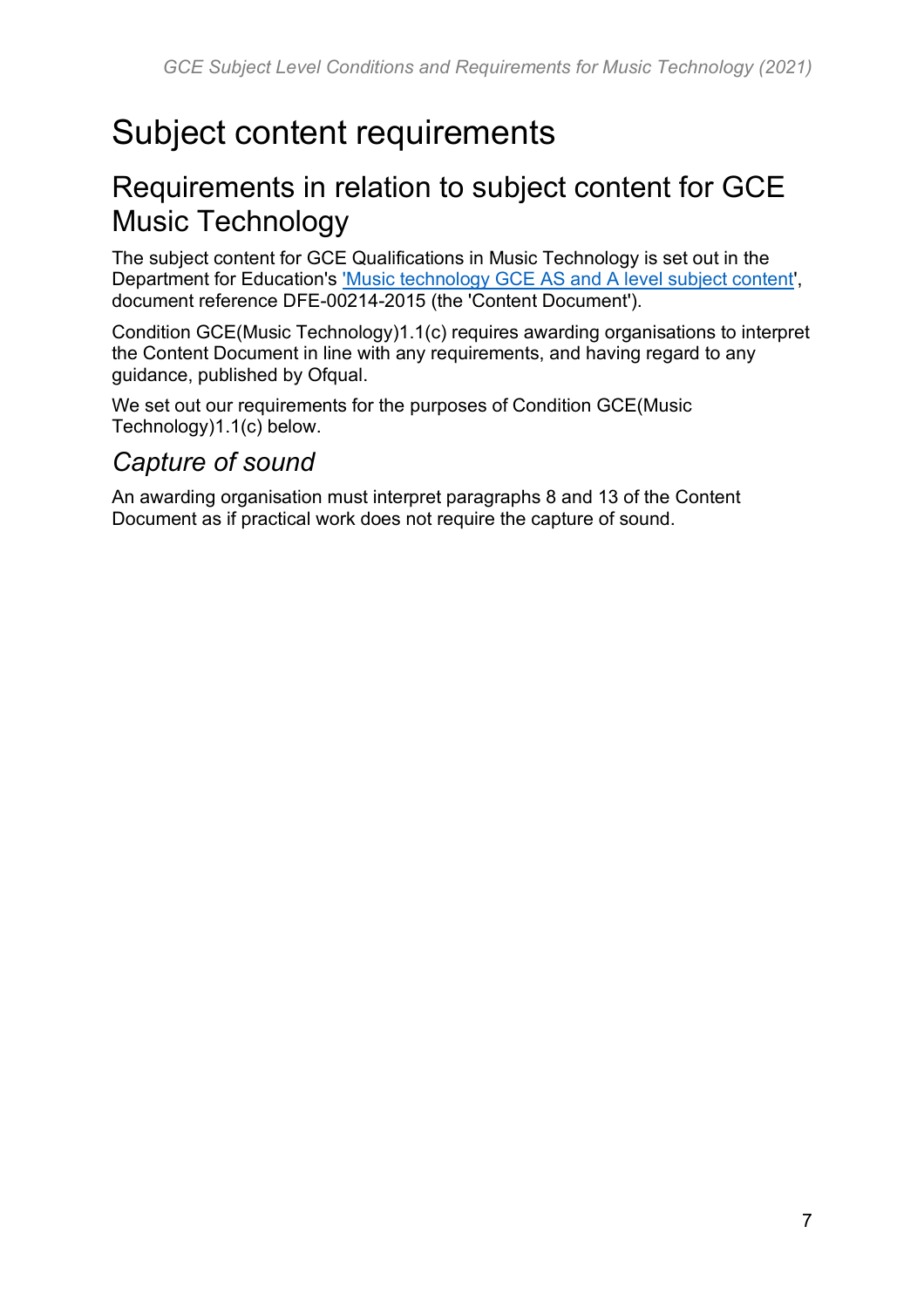# <span id="page-6-0"></span>Subject content requirements

## <span id="page-6-1"></span>Requirements in relation to subject content for GCE Music Technology

The subject content for GCE Qualifications in Music Technology is set out in the Department for Education's ['Music technology GCE AS and A level subject content'](https://www.gov.uk/government/publications/gce-as-and-a-level-music-technology), document reference DFE-00214-2015 (the 'Content Document').

Condition GCE(Music Technology)1.1(c) requires awarding organisations to interpret the Content Document in line with any requirements, and having regard to any guidance, published by Ofqual.

We set out our requirements for the purposes of Condition GCE(Music Technology)1.1(c) below.

#### *Capture of sound*

An awarding organisation must interpret paragraphs 8 and 13 of the Content Document as if practical work does not require the capture of sound.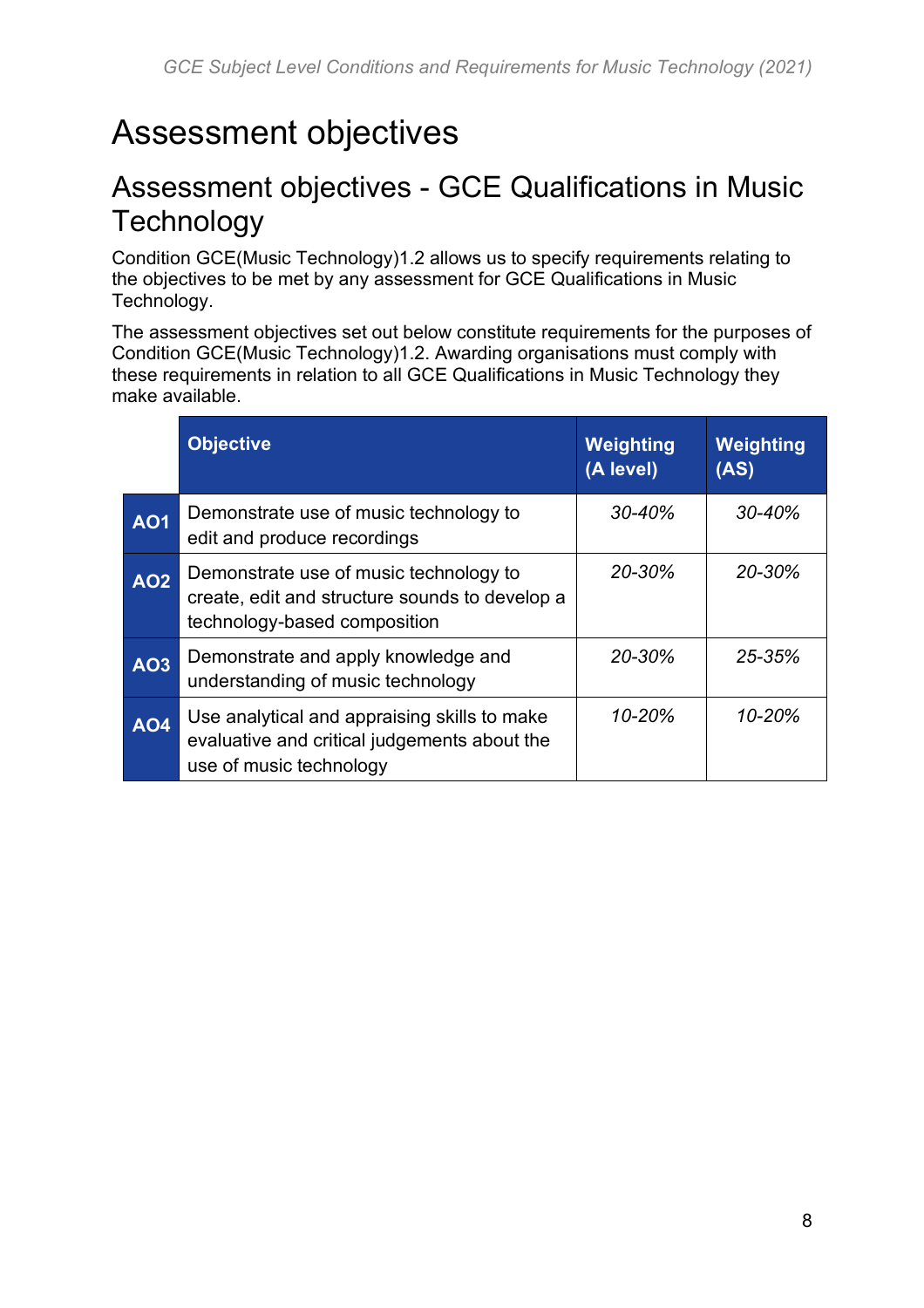# <span id="page-7-0"></span>Assessment objectives

## <span id="page-7-1"></span>Assessment objectives - GCE Qualifications in Music **Technology**

Condition GCE(Music Technology)1.2 allows us to specify requirements relating to the objectives to be met by any assessment for GCE Qualifications in Music Technology.

The assessment objectives set out below constitute requirements for the purposes of Condition GCE(Music Technology)1.2. Awarding organisations must comply with these requirements in relation to all GCE Qualifications in Music Technology they make available.

|            | <b>Objective</b>                                                                                                         | Weighting<br>(A level) | Weighting<br>(AS) |
|------------|--------------------------------------------------------------------------------------------------------------------------|------------------------|-------------------|
| <b>AO1</b> | Demonstrate use of music technology to<br>edit and produce recordings                                                    | $30 - 40%$             | 30-40%            |
| <b>AO2</b> | Demonstrate use of music technology to<br>create, edit and structure sounds to develop a<br>technology-based composition | 20-30%                 | 20-30%            |
| <b>AO3</b> | Demonstrate and apply knowledge and<br>understanding of music technology                                                 | 20-30%                 | 25-35%            |
| <b>AO4</b> | Use analytical and appraising skills to make<br>evaluative and critical judgements about the<br>use of music technology  | 10-20%                 | 10-20%            |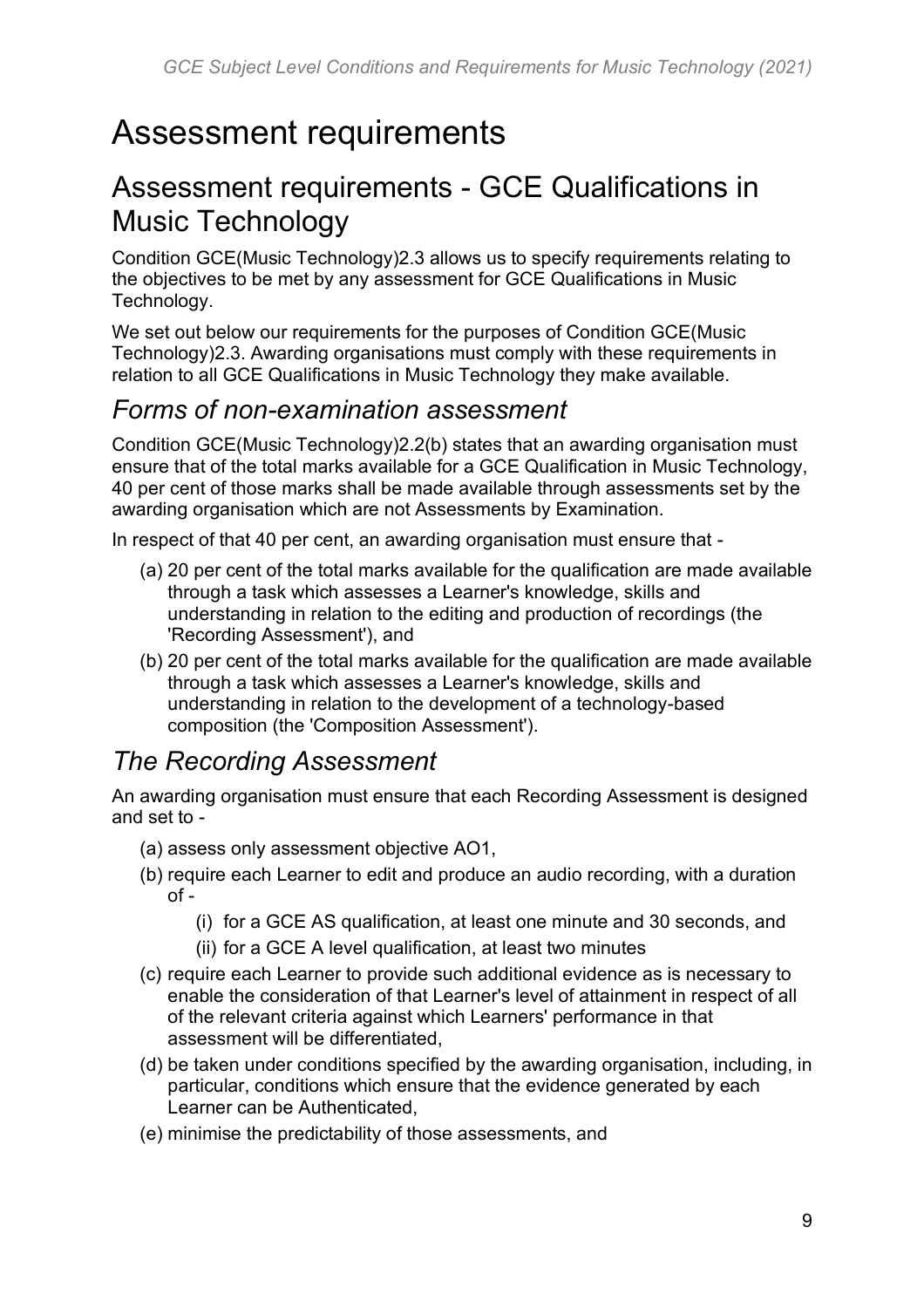# <span id="page-8-0"></span>Assessment requirements

## <span id="page-8-1"></span>Assessment requirements - GCE Qualifications in Music Technology

Condition GCE(Music Technology)2.3 allows us to specify requirements relating to the objectives to be met by any assessment for GCE Qualifications in Music Technology.

We set out below our requirements for the purposes of Condition GCE(Music Technology)2.3. Awarding organisations must comply with these requirements in relation to all GCE Qualifications in Music Technology they make available.

#### *Forms of non-examination assessment*

Condition GCE(Music Technology)2.2(b) states that an awarding organisation must ensure that of the total marks available for a GCE Qualification in Music Technology, 40 per cent of those marks shall be made available through assessments set by the awarding organisation which are not Assessments by Examination.

In respect of that 40 per cent, an awarding organisation must ensure that -

- (a) 20 per cent of the total marks available for the qualification are made available through a task which assesses a Learner's knowledge, skills and understanding in relation to the editing and production of recordings (the 'Recording Assessment'), and
- (b) 20 per cent of the total marks available for the qualification are made available through a task which assesses a Learner's knowledge, skills and understanding in relation to the development of a technology-based composition (the 'Composition Assessment').

#### *The Recording Assessment*

An awarding organisation must ensure that each Recording Assessment is designed and set to -

- (a) assess only assessment objective AO1,
- (b) require each Learner to edit and produce an audio recording, with a duration  $of -$ 
	- (i) for a GCE AS qualification, at least one minute and 30 seconds, and
	- (ii) for a GCE A level qualification, at least two minutes
- (c) require each Learner to provide such additional evidence as is necessary to enable the consideration of that Learner's level of attainment in respect of all of the relevant criteria against which Learners' performance in that assessment will be differentiated,
- (d) be taken under conditions specified by the awarding organisation, including, in particular, conditions which ensure that the evidence generated by each Learner can be Authenticated,
- (e) minimise the predictability of those assessments, and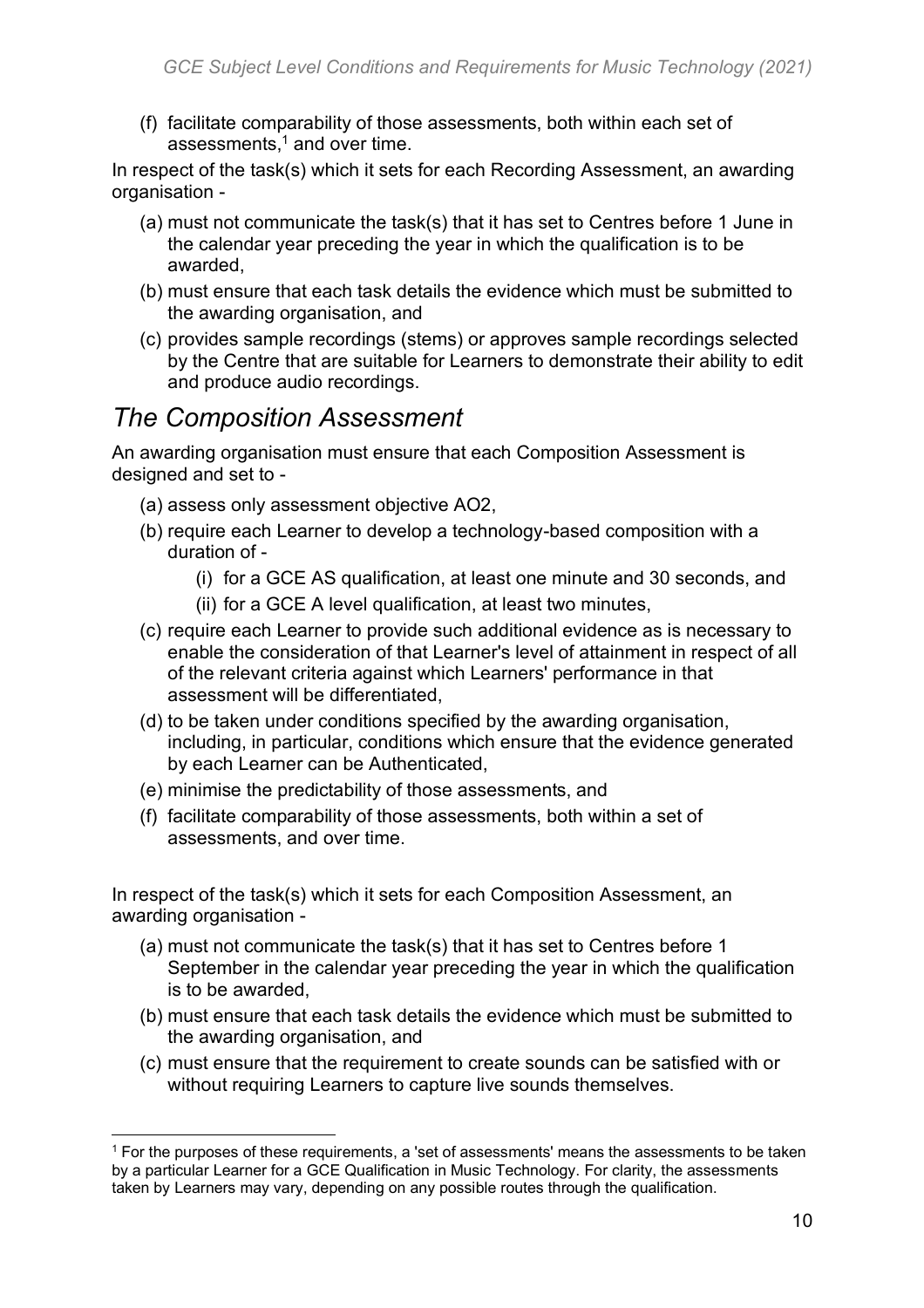(f) facilitate comparability of those assessments, both within each set of assessments, $1$  and over time.

In respect of the task(s) which it sets for each Recording Assessment, an awarding organisation -

- (a) must not communicate the task(s) that it has set to Centres before 1 June in the calendar year preceding the year in which the qualification is to be awarded,
- (b) must ensure that each task details the evidence which must be submitted to the awarding organisation, and
- (c) provides sample recordings (stems) or approves sample recordings selected by the Centre that are suitable for Learners to demonstrate their ability to edit and produce audio recordings.

#### *The Composition Assessment*

An awarding organisation must ensure that each Composition Assessment is designed and set to -

- (a) assess only assessment objective AO2,
- (b) require each Learner to develop a technology-based composition with a duration of -
	- (i) for a GCE AS qualification, at least one minute and 30 seconds, and
	- (ii) for a GCE A level qualification, at least two minutes,
- (c) require each Learner to provide such additional evidence as is necessary to enable the consideration of that Learner's level of attainment in respect of all of the relevant criteria against which Learners' performance in that assessment will be differentiated,
- (d) to be taken under conditions specified by the awarding organisation, including, in particular, conditions which ensure that the evidence generated by each Learner can be Authenticated,
- (e) minimise the predictability of those assessments, and
- (f) facilitate comparability of those assessments, both within a set of assessments, and over time.

In respect of the task(s) which it sets for each Composition Assessment, an awarding organisation -

- (a) must not communicate the task(s) that it has set to Centres before 1 September in the calendar year preceding the year in which the qualification is to be awarded,
- (b) must ensure that each task details the evidence which must be submitted to the awarding organisation, and
- (c) must ensure that the requirement to create sounds can be satisfied with or without requiring Learners to capture live sounds themselves.

<sup>&</sup>lt;sup>1</sup> For the purposes of these requirements, a 'set of assessments' means the assessments to be taken by a particular Learner for a GCE Qualification in Music Technology. For clarity, the assessments taken by Learners may vary, depending on any possible routes through the qualification.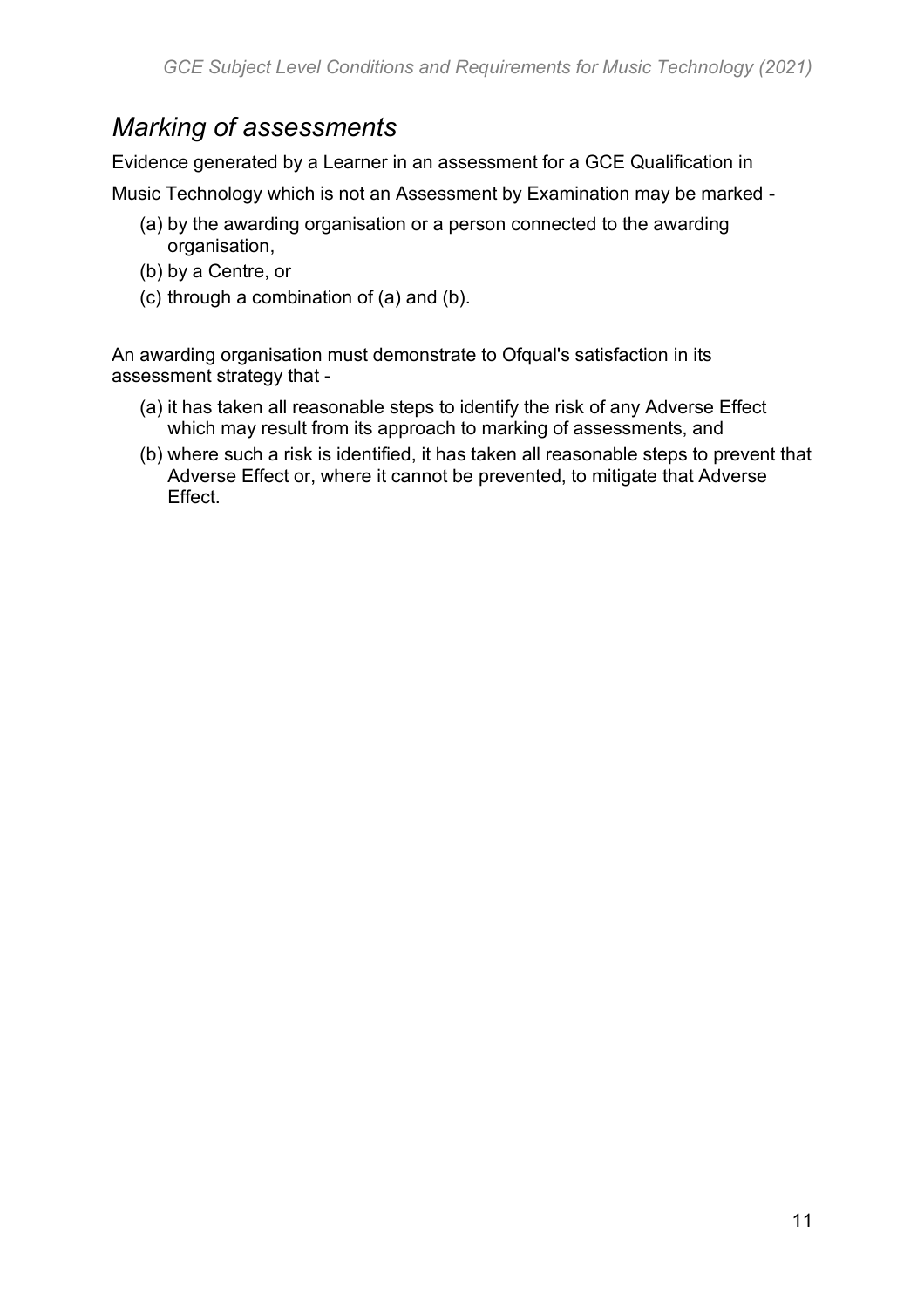## *Marking of assessments*

Evidence generated by a Learner in an assessment for a GCE Qualification in Music Technology which is not an Assessment by Examination may be marked -

- (a) by the awarding organisation or a person connected to the awarding organisation,
- (b) by a Centre, or
- (c) through a combination of (a) and (b).

An awarding organisation must demonstrate to Ofqual's satisfaction in its assessment strategy that -

- (a) it has taken all reasonable steps to identify the risk of any Adverse Effect which may result from its approach to marking of assessments, and
- (b) where such a risk is identified, it has taken all reasonable steps to prevent that Adverse Effect or, where it cannot be prevented, to mitigate that Adverse Effect.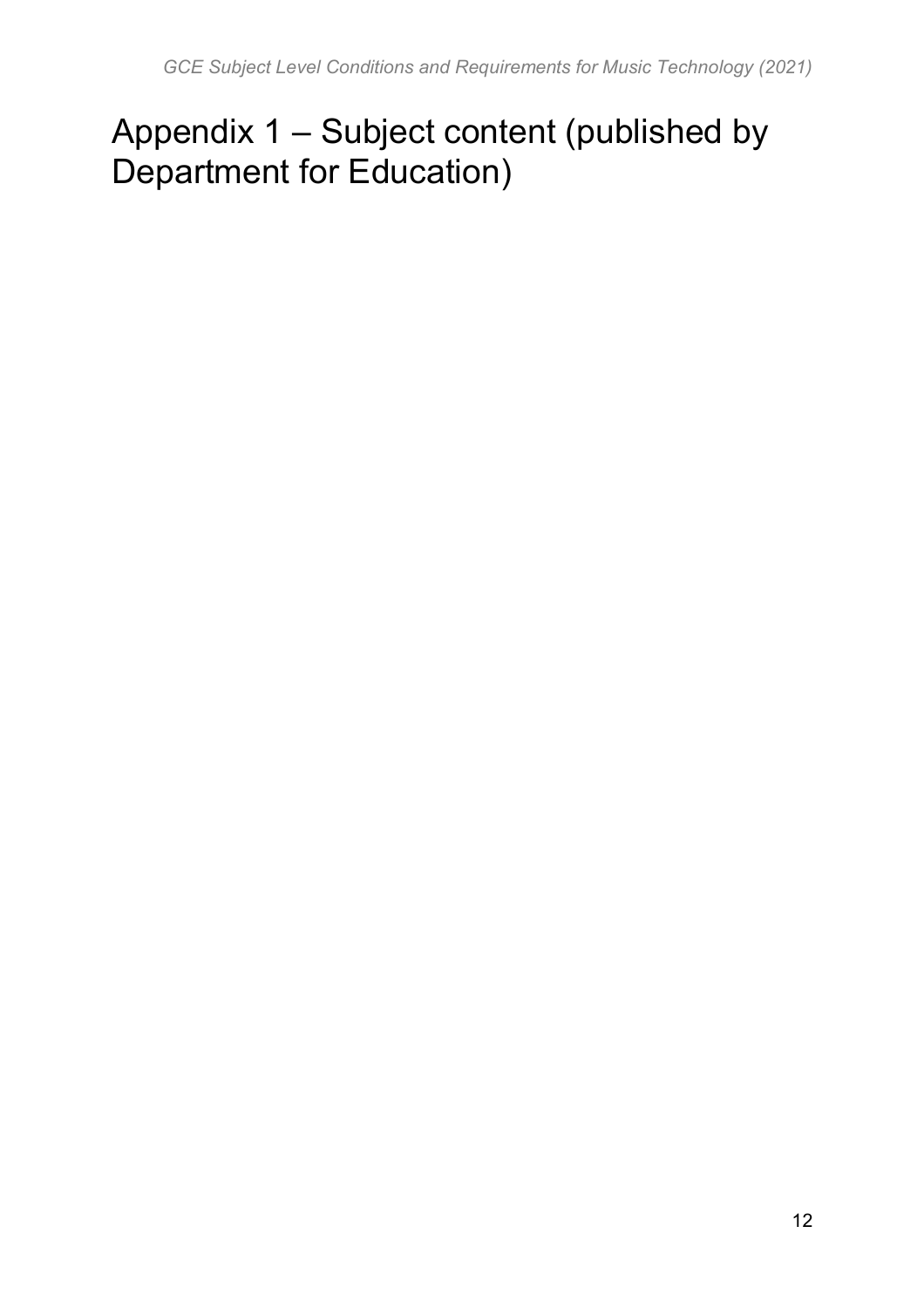# <span id="page-11-0"></span>Appendix 1 – Subject content (published by Department for Education)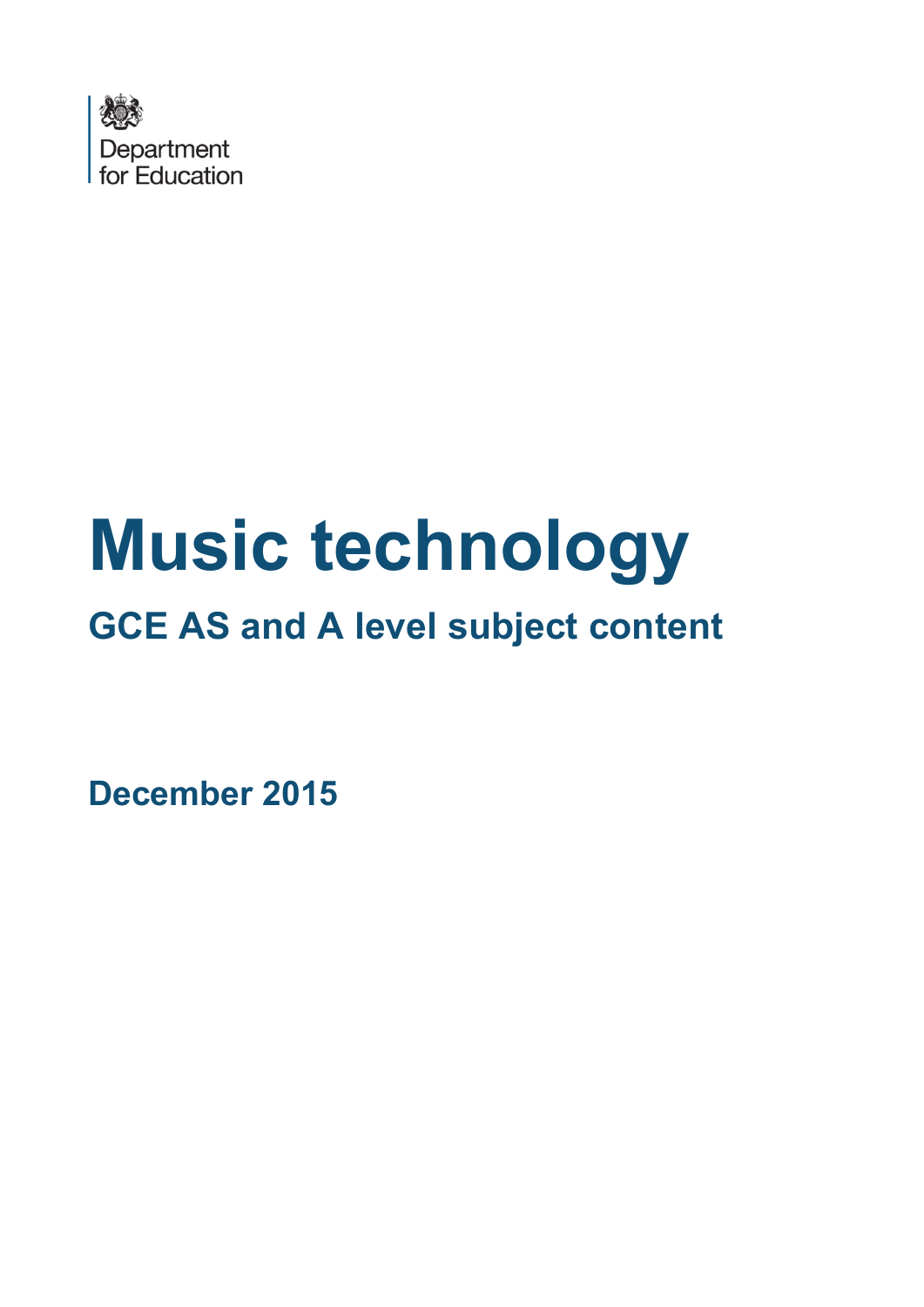

# **Music technology**

# **GCE AS and A level subject content**

**December 2015**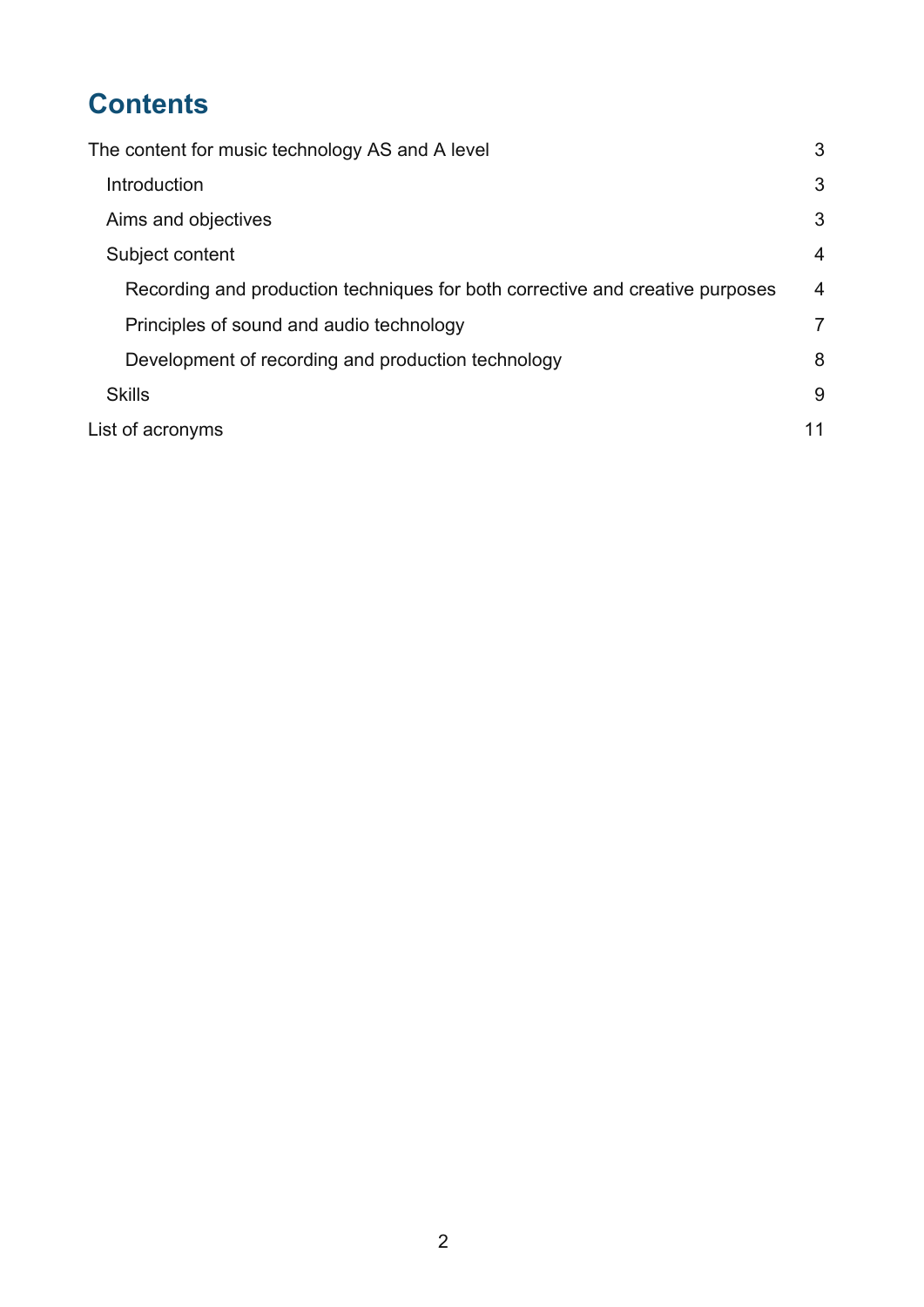## **Contents**

| The content for music technology AS and A level                               | 3              |
|-------------------------------------------------------------------------------|----------------|
| Introduction                                                                  | 3              |
| Aims and objectives                                                           | 3              |
| Subject content                                                               | $\overline{4}$ |
| Recording and production techniques for both corrective and creative purposes | 4              |
| Principles of sound and audio technology                                      | 7              |
| Development of recording and production technology                            | 8              |
| <b>Skills</b>                                                                 | 9              |
| List of acronyms                                                              | 11             |
|                                                                               |                |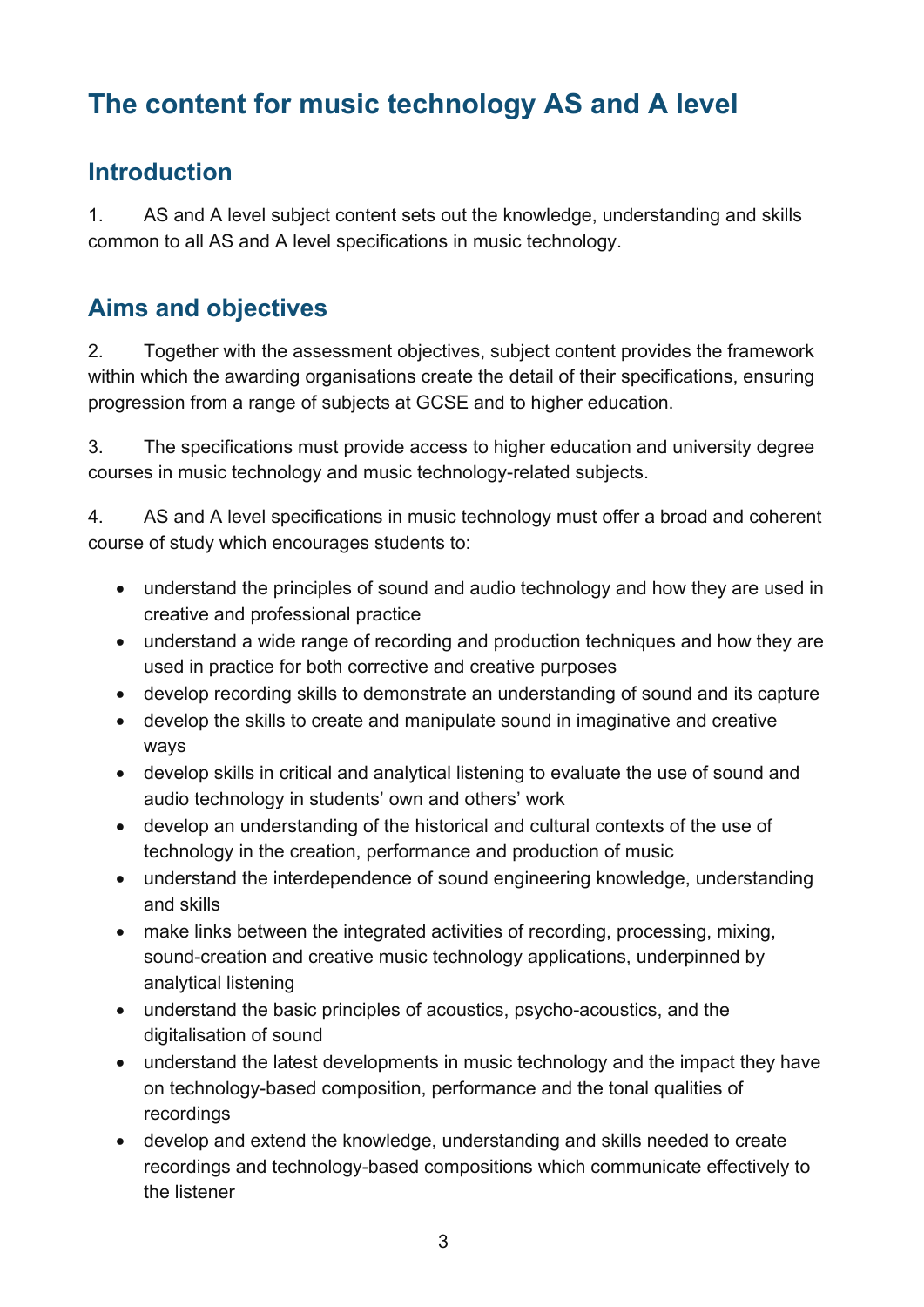## <span id="page-14-0"></span>**The content for music technology AS and A level**

#### <span id="page-14-1"></span>**Introduction**

1. AS and A level subject content sets out the knowledge, understanding and skills common to all AS and A level specifications in music technology.

#### <span id="page-14-2"></span>**Aims and objectives**

2. Together with the assessment objectives, subject content provides the framework within which the awarding organisations create the detail of their specifications, ensuring progression from a range of subjects at GCSE and to higher education.

3. The specifications must provide access to higher education and university degree courses in music technology and music technology-related subjects.

4. AS and A level specifications in music technology must offer a broad and coherent course of study which encourages students to:

- understand the principles of sound and audio technology and how they are used in creative and professional practice
- understand a wide range of recording and production techniques and how they are used in practice for both corrective and creative purposes
- develop recording skills to demonstrate an understanding of sound and its capture
- develop the skills to create and manipulate sound in imaginative and creative ways
- develop skills in critical and analytical listening to evaluate the use of sound and audio technology in students' own and others' work
- develop an understanding of the historical and cultural contexts of the use of technology in the creation, performance and production of music
- understand the interdependence of sound engineering knowledge, understanding and skills
- make links between the integrated activities of recording, processing, mixing, sound-creation and creative music technology applications, underpinned by analytical listening
- understand the basic principles of acoustics, psycho-acoustics, and the digitalisation of sound
- understand the latest developments in music technology and the impact they have on technology-based composition, performance and the tonal qualities of recordings
- develop and extend the knowledge, understanding and skills needed to create recordings and technology-based compositions which communicate effectively to the listener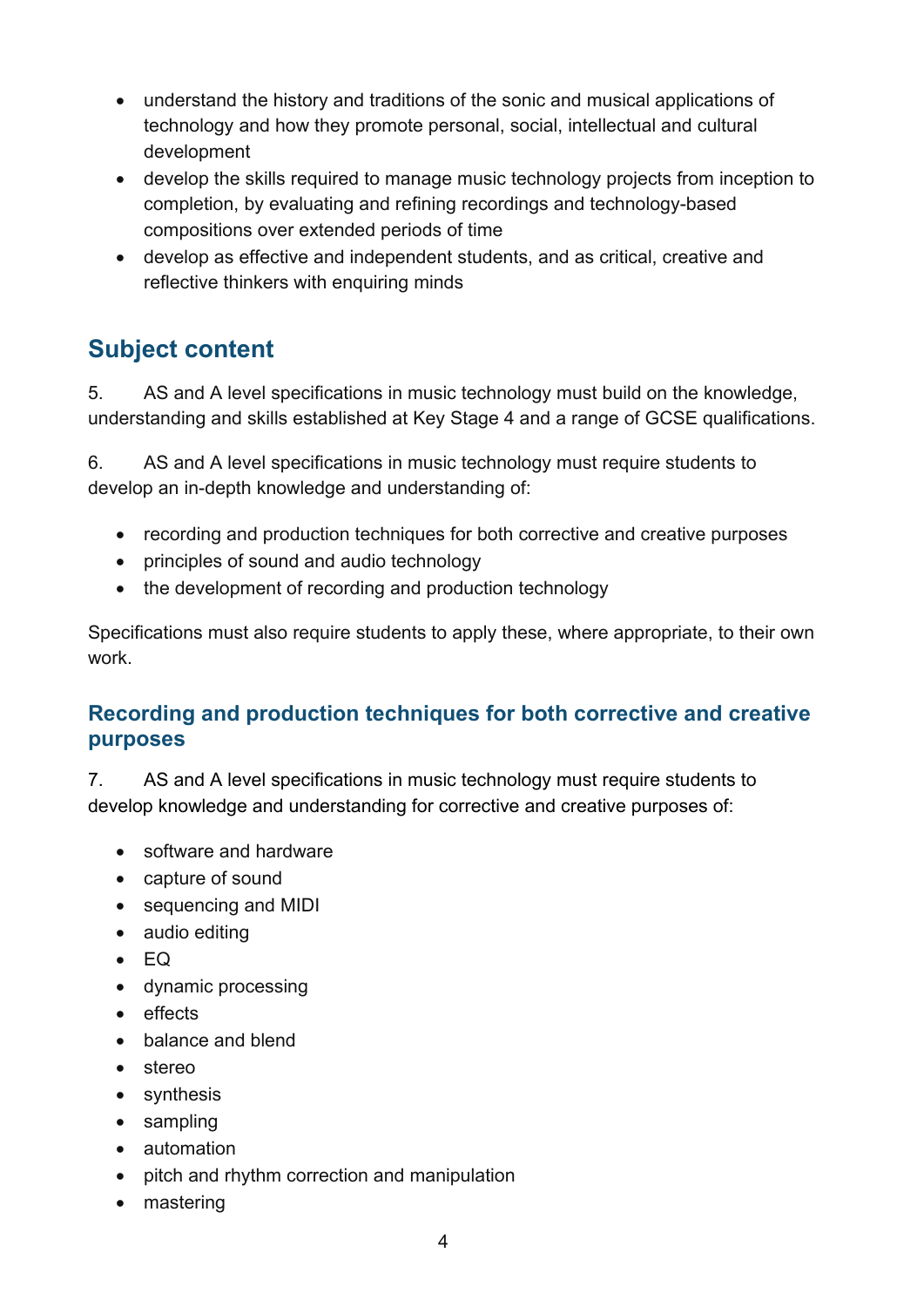- understand the history and traditions of the sonic and musical applications of technology and how they promote personal, social, intellectual and cultural development
- develop the skills required to manage music technology projects from inception to completion, by evaluating and refining recordings and technology-based compositions over extended periods of time
- develop as effective and independent students, and as critical, creative and reflective thinkers with enquiring minds

## <span id="page-15-0"></span>**Subject content**

5. AS and A level specifications in music technology must build on the knowledge, understanding and skills established at Key Stage 4 and a range of GCSE qualifications.

6. AS and A level specifications in music technology must require students to develop an in-depth knowledge and understanding of:

- recording and production techniques for both corrective and creative purposes
- principles of sound and audio technology
- the development of recording and production technology

Specifications must also require students to apply these, where appropriate, to their own work.

#### <span id="page-15-1"></span>**Recording and production techniques for both corrective and creative purposes**

7. AS and A level specifications in music technology must require students to develop knowledge and understanding for corrective and creative purposes of:

- software and hardware
- capture of sound
- sequencing and MIDI
- audio editing
- EQ
- dynamic processing
- effects
- balance and blend
- stereo
- synthesis
- sampling
- automation
- pitch and rhythm correction and manipulation
- mastering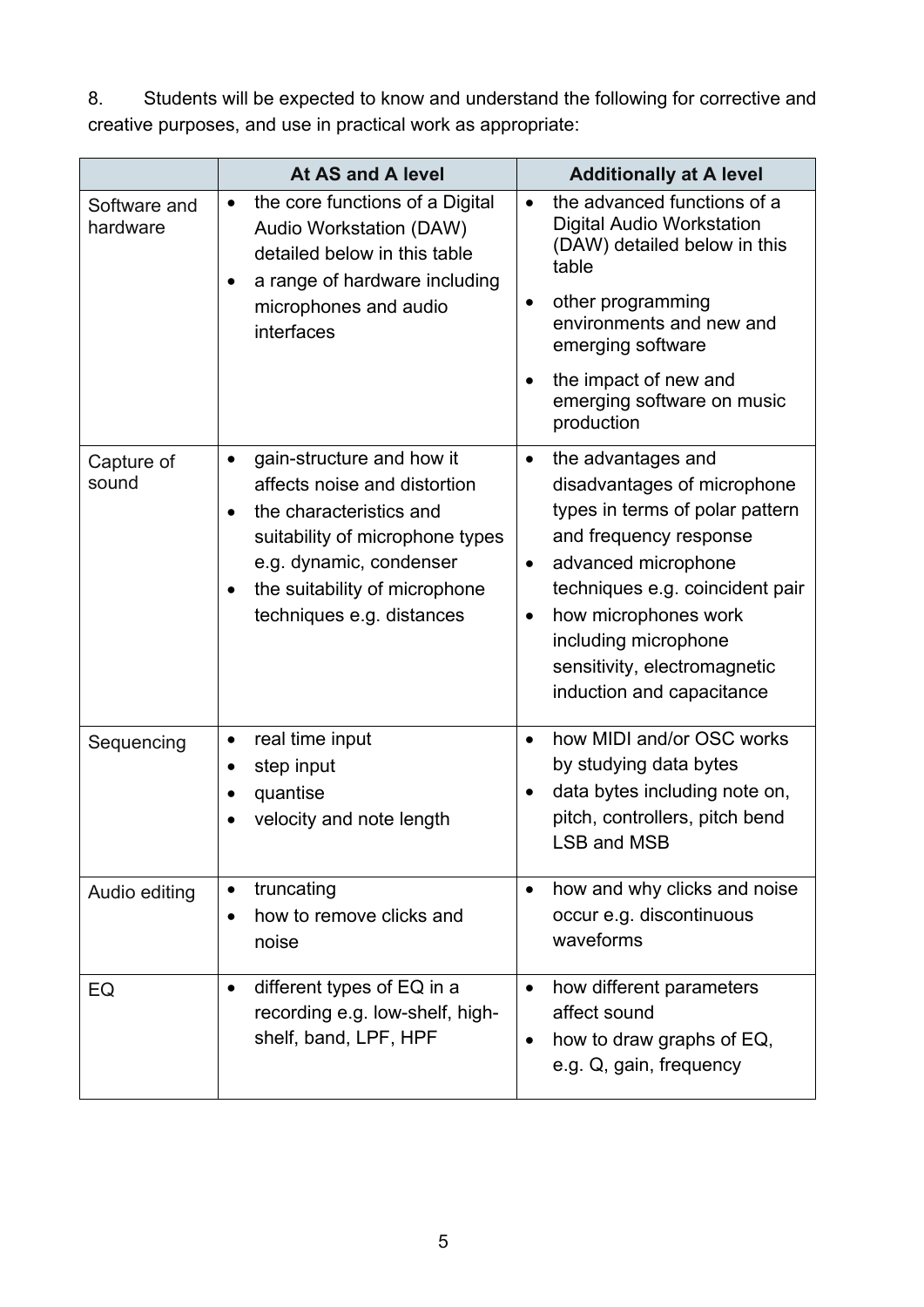8. Students will be expected to know and understand the following for corrective and creative purposes, and use in practical work as appropriate:

|                          | At AS and A level                                                                                                                                                                                                                                       | <b>Additionally at A level</b>                                                                                                                                                                                                                                                                                               |
|--------------------------|---------------------------------------------------------------------------------------------------------------------------------------------------------------------------------------------------------------------------------------------------------|------------------------------------------------------------------------------------------------------------------------------------------------------------------------------------------------------------------------------------------------------------------------------------------------------------------------------|
| Software and<br>hardware | the core functions of a Digital<br>$\bullet$<br>Audio Workstation (DAW)<br>detailed below in this table<br>a range of hardware including<br>$\bullet$<br>microphones and audio<br>interfaces                                                            | the advanced functions of a<br>$\bullet$<br><b>Digital Audio Workstation</b><br>(DAW) detailed below in this<br>table<br>other programming<br>٠<br>environments and new and<br>emerging software<br>the impact of new and<br>٠<br>emerging software on music<br>production                                                   |
| Capture of<br>sound      | gain-structure and how it<br>$\bullet$<br>affects noise and distortion<br>the characteristics and<br>$\bullet$<br>suitability of microphone types<br>e.g. dynamic, condenser<br>the suitability of microphone<br>$\bullet$<br>techniques e.g. distances | the advantages and<br>$\bullet$<br>disadvantages of microphone<br>types in terms of polar pattern<br>and frequency response<br>advanced microphone<br>$\bullet$<br>techniques e.g. coincident pair<br>how microphones work<br>$\bullet$<br>including microphone<br>sensitivity, electromagnetic<br>induction and capacitance |
| Sequencing               | real time input<br>step input<br>$\bullet$<br>quantise<br>velocity and note length                                                                                                                                                                      | how MIDI and/or OSC works<br>$\bullet$<br>by studying data bytes<br>data bytes including note on,<br>pitch, controllers, pitch bend<br><b>LSB and MSB</b>                                                                                                                                                                    |
| Audio editing            | truncating<br>$\bullet$<br>how to remove clicks and<br>$\bullet$<br>noise                                                                                                                                                                               | how and why clicks and noise<br>$\bullet$<br>occur e.g. discontinuous<br>waveforms                                                                                                                                                                                                                                           |
| EQ                       | different types of EQ in a<br>$\bullet$<br>recording e.g. low-shelf, high-<br>shelf, band, LPF, HPF                                                                                                                                                     | how different parameters<br>$\bullet$<br>affect sound<br>how to draw graphs of EQ,<br>$\bullet$<br>e.g. Q, gain, frequency                                                                                                                                                                                                   |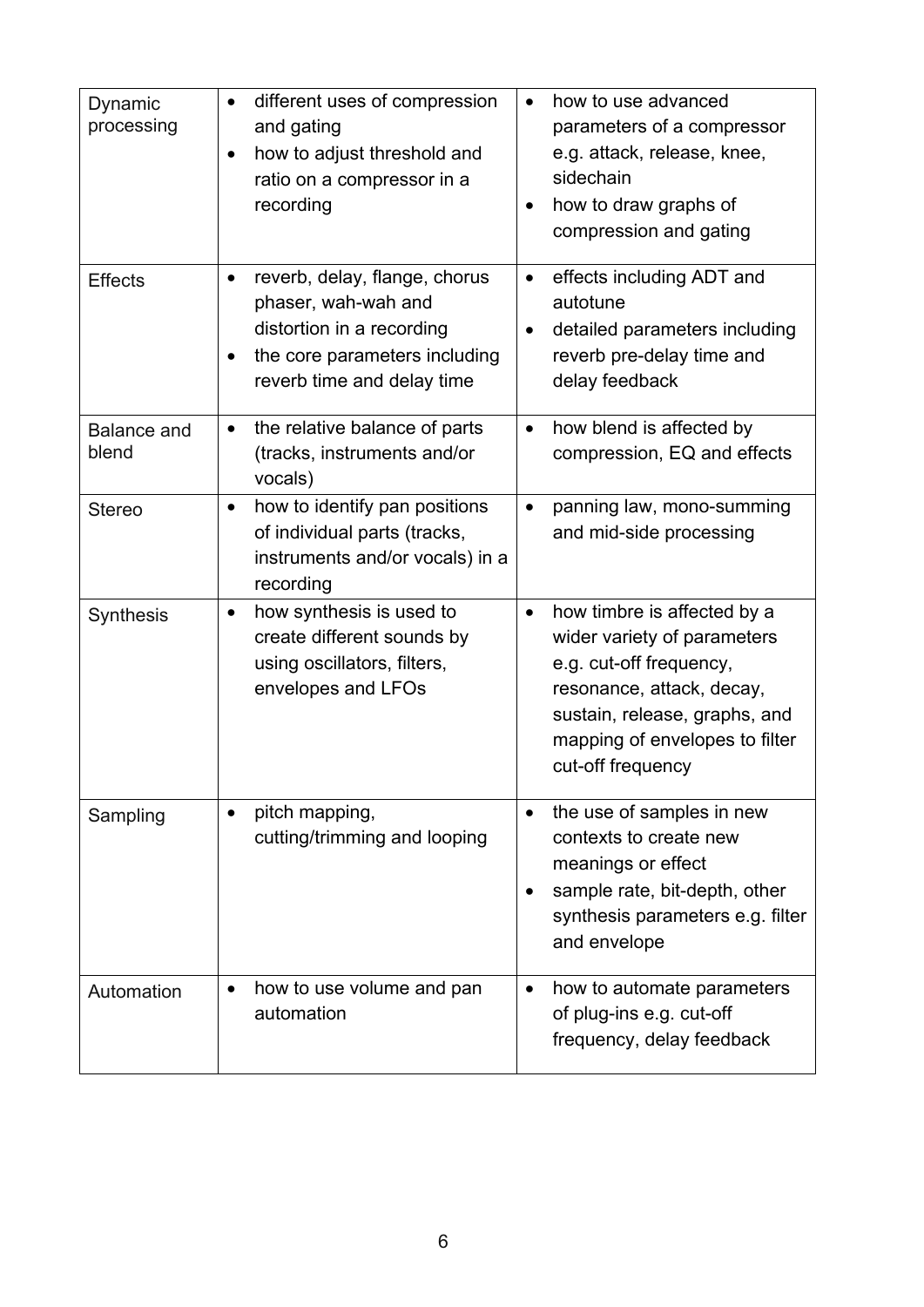| Dynamic<br>processing       | different uses of compression<br>$\bullet$<br>and gating<br>how to adjust threshold and<br>$\bullet$<br>ratio on a compressor in a<br>recording                    | how to use advanced<br>$\bullet$<br>parameters of a compressor<br>e.g. attack, release, knee,<br>sidechain<br>how to draw graphs of<br>$\bullet$<br>compression and gating                                              |
|-----------------------------|--------------------------------------------------------------------------------------------------------------------------------------------------------------------|-------------------------------------------------------------------------------------------------------------------------------------------------------------------------------------------------------------------------|
| <b>Effects</b>              | reverb, delay, flange, chorus<br>٠<br>phaser, wah-wah and<br>distortion in a recording<br>the core parameters including<br>$\bullet$<br>reverb time and delay time | effects including ADT and<br>٠<br>autotune<br>detailed parameters including<br>$\bullet$<br>reverb pre-delay time and<br>delay feedback                                                                                 |
| <b>Balance and</b><br>blend | the relative balance of parts<br>$\bullet$<br>(tracks, instruments and/or<br>vocals)                                                                               | how blend is affected by<br>$\bullet$<br>compression, EQ and effects                                                                                                                                                    |
| <b>Stereo</b>               | how to identify pan positions<br>$\bullet$<br>of individual parts (tracks,<br>instruments and/or vocals) in a<br>recording                                         | panning law, mono-summing<br>$\bullet$<br>and mid-side processing                                                                                                                                                       |
| <b>Synthesis</b>            | how synthesis is used to<br>$\bullet$<br>create different sounds by<br>using oscillators, filters,<br>envelopes and LFOs                                           | how timbre is affected by a<br>$\bullet$<br>wider variety of parameters<br>e.g. cut-off frequency,<br>resonance, attack, decay,<br>sustain, release, graphs, and<br>mapping of envelopes to filter<br>cut-off frequency |
| Sampling                    | pitch mapping,<br>$\bullet$<br>cutting/trimming and looping                                                                                                        | the use of samples in new<br>$\bullet$<br>contexts to create new<br>meanings or effect<br>sample rate, bit-depth, other<br>synthesis parameters e.g. filter<br>and envelope                                             |
| Automation                  | how to use volume and pan<br>$\bullet$<br>automation                                                                                                               | how to automate parameters<br>$\bullet$<br>of plug-ins e.g. cut-off<br>frequency, delay feedback                                                                                                                        |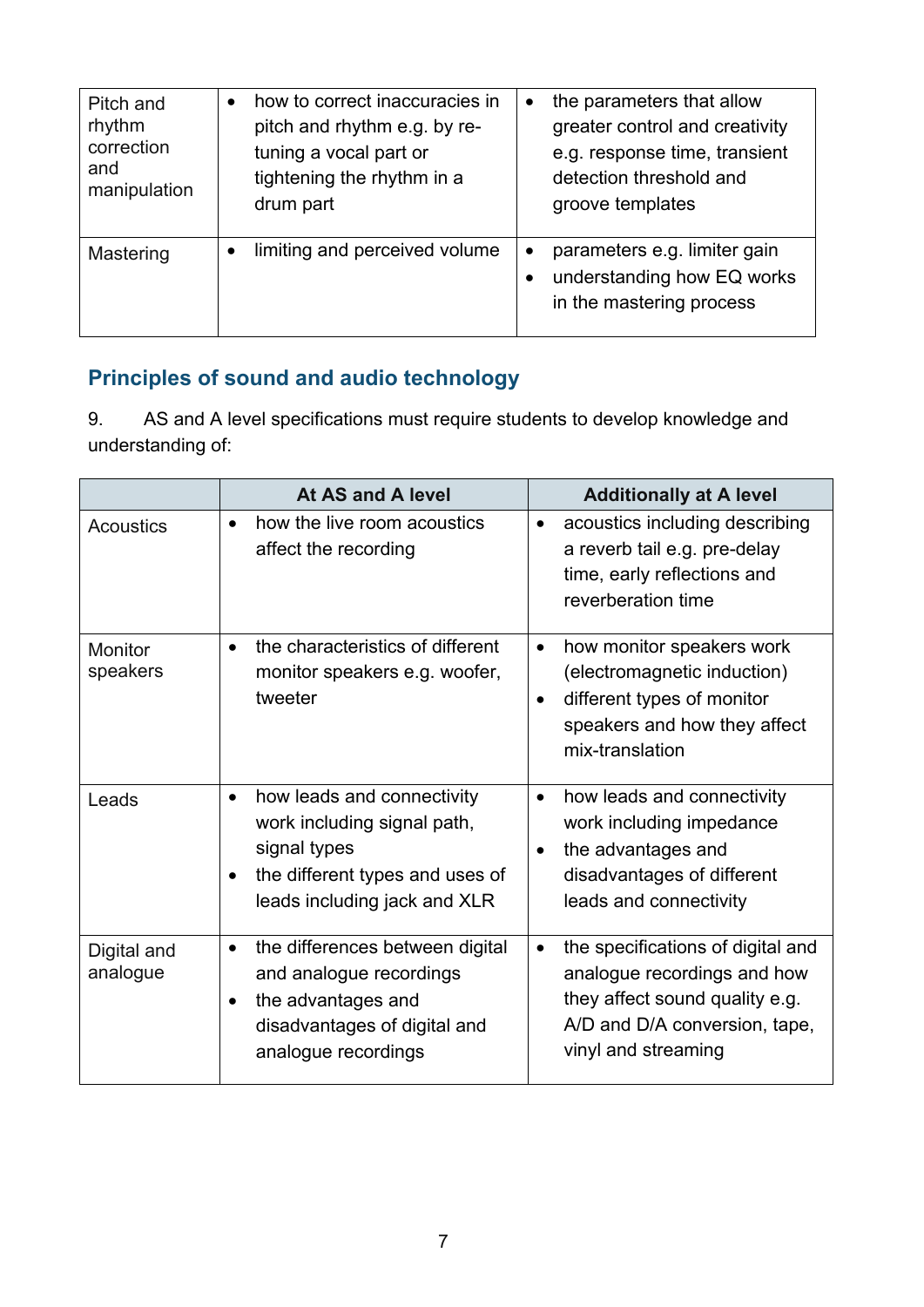| Pitch and<br>rhythm<br>correction<br>and<br>manipulation | how to correct inaccuracies in<br>pitch and rhythm e.g. by re-<br>tuning a vocal part or<br>tightening the rhythm in a<br>drum part | $\bullet$ | the parameters that allow<br>greater control and creativity<br>e.g. response time, transient<br>detection threshold and<br>groove templates |
|----------------------------------------------------------|-------------------------------------------------------------------------------------------------------------------------------------|-----------|---------------------------------------------------------------------------------------------------------------------------------------------|
| Mastering                                                | limiting and perceived volume                                                                                                       | $\bullet$ | parameters e.g. limiter gain<br>understanding how EQ works<br>in the mastering process                                                      |

#### <span id="page-18-0"></span>**Principles of sound and audio technology**

9. AS and A level specifications must require students to develop knowledge and understanding of:

|                            | At AS and A level                                                                                                                                         | <b>Additionally at A level</b>                                                                                                                                          |
|----------------------------|-----------------------------------------------------------------------------------------------------------------------------------------------------------|-------------------------------------------------------------------------------------------------------------------------------------------------------------------------|
| <b>Acoustics</b>           | how the live room acoustics<br>$\bullet$<br>affect the recording                                                                                          | acoustics including describing<br>$\bullet$<br>a reverb tail e.g. pre-delay<br>time, early reflections and<br>reverberation time                                        |
| <b>Monitor</b><br>speakers | the characteristics of different<br>$\bullet$<br>monitor speakers e.g. woofer,<br>tweeter                                                                 | how monitor speakers work<br>$\bullet$<br>(electromagnetic induction)<br>different types of monitor<br>$\bullet$<br>speakers and how they affect<br>mix-translation     |
| Leads                      | how leads and connectivity<br>$\bullet$<br>work including signal path,<br>signal types<br>the different types and uses of<br>leads including jack and XLR | how leads and connectivity<br>$\bullet$<br>work including impedance<br>the advantages and<br>$\bullet$<br>disadvantages of different<br>leads and connectivity          |
| Digital and<br>analogue    | the differences between digital<br>$\bullet$<br>and analogue recordings<br>the advantages and<br>disadvantages of digital and<br>analogue recordings      | the specifications of digital and<br>$\bullet$<br>analogue recordings and how<br>they affect sound quality e.g.<br>A/D and D/A conversion, tape,<br>vinyl and streaming |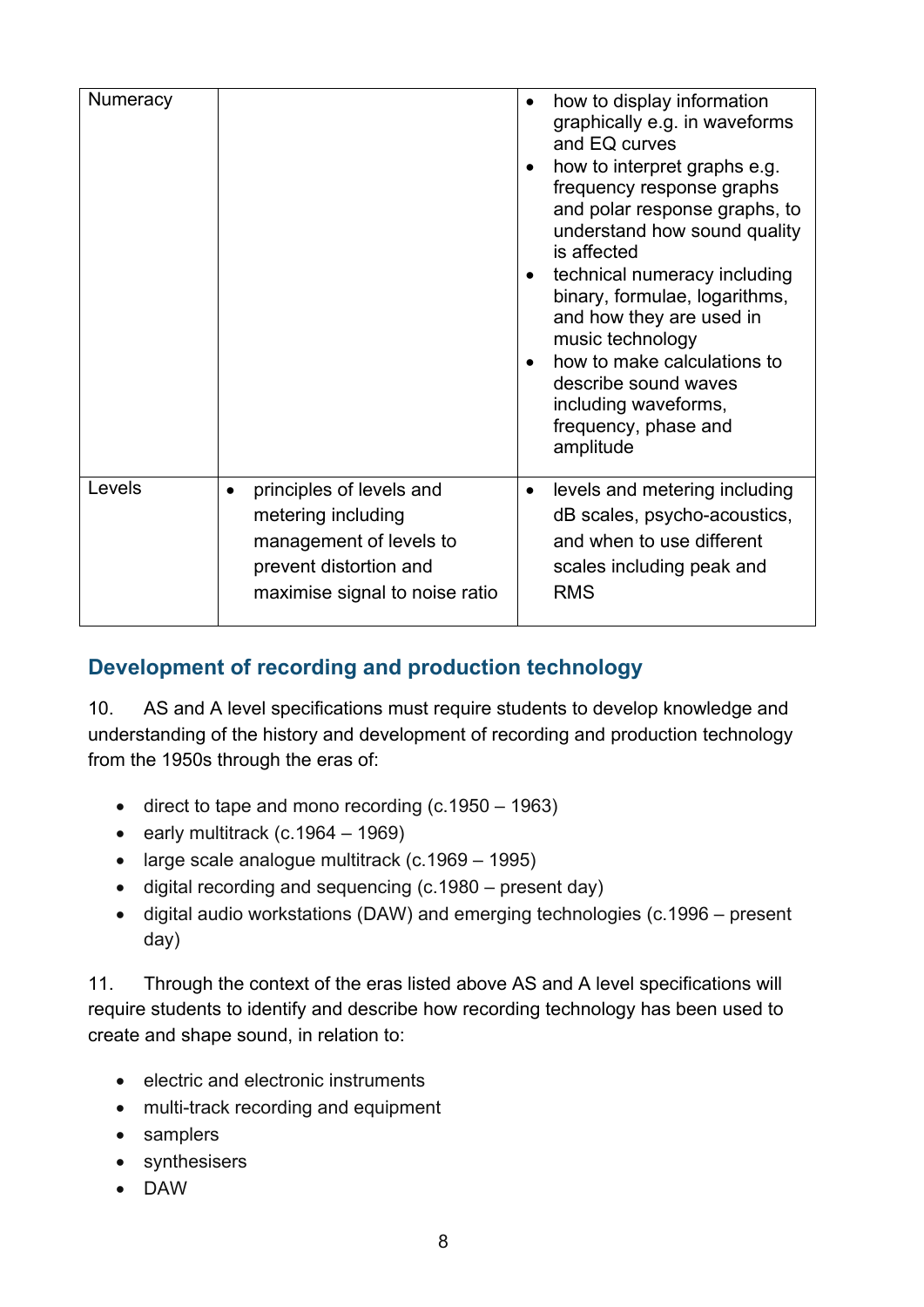| <b>Numeracy</b> |                                                                                                                                                    | how to display information<br>graphically e.g. in waveforms<br>and EQ curves<br>how to interpret graphs e.g.<br>frequency response graphs<br>and polar response graphs, to<br>understand how sound quality<br>is affected<br>technical numeracy including<br>binary, formulae, logarithms,<br>and how they are used in<br>music technology<br>how to make calculations to<br>describe sound waves<br>including waveforms,<br>frequency, phase and<br>amplitude |
|-----------------|----------------------------------------------------------------------------------------------------------------------------------------------------|----------------------------------------------------------------------------------------------------------------------------------------------------------------------------------------------------------------------------------------------------------------------------------------------------------------------------------------------------------------------------------------------------------------------------------------------------------------|
| Levels          | principles of levels and<br>$\bullet$<br>metering including<br>management of levels to<br>prevent distortion and<br>maximise signal to noise ratio | levels and metering including<br>$\bullet$<br>dB scales, psycho-acoustics,<br>and when to use different<br>scales including peak and<br><b>RMS</b>                                                                                                                                                                                                                                                                                                             |

#### <span id="page-19-0"></span>**Development of recording and production technology**

10. AS and A level specifications must require students to develop knowledge and understanding of the history and development of recording and production technology from the 1950s through the eras of:

- direct to tape and mono recording (c.1950 1963)
- early multitrack  $(c.1964 1969)$
- large scale analogue multitrack (c.1969 1995)
- digital recording and sequencing (c.1980 present day)
- digital audio workstations (DAW) and emerging technologies (c.1996 present day)

11. Through the context of the eras listed above AS and A level specifications will require students to identify and describe how recording technology has been used to create and shape sound, in relation to:

- electric and electronic instruments
- multi-track recording and equipment
- samplers
- synthesisers
- DAW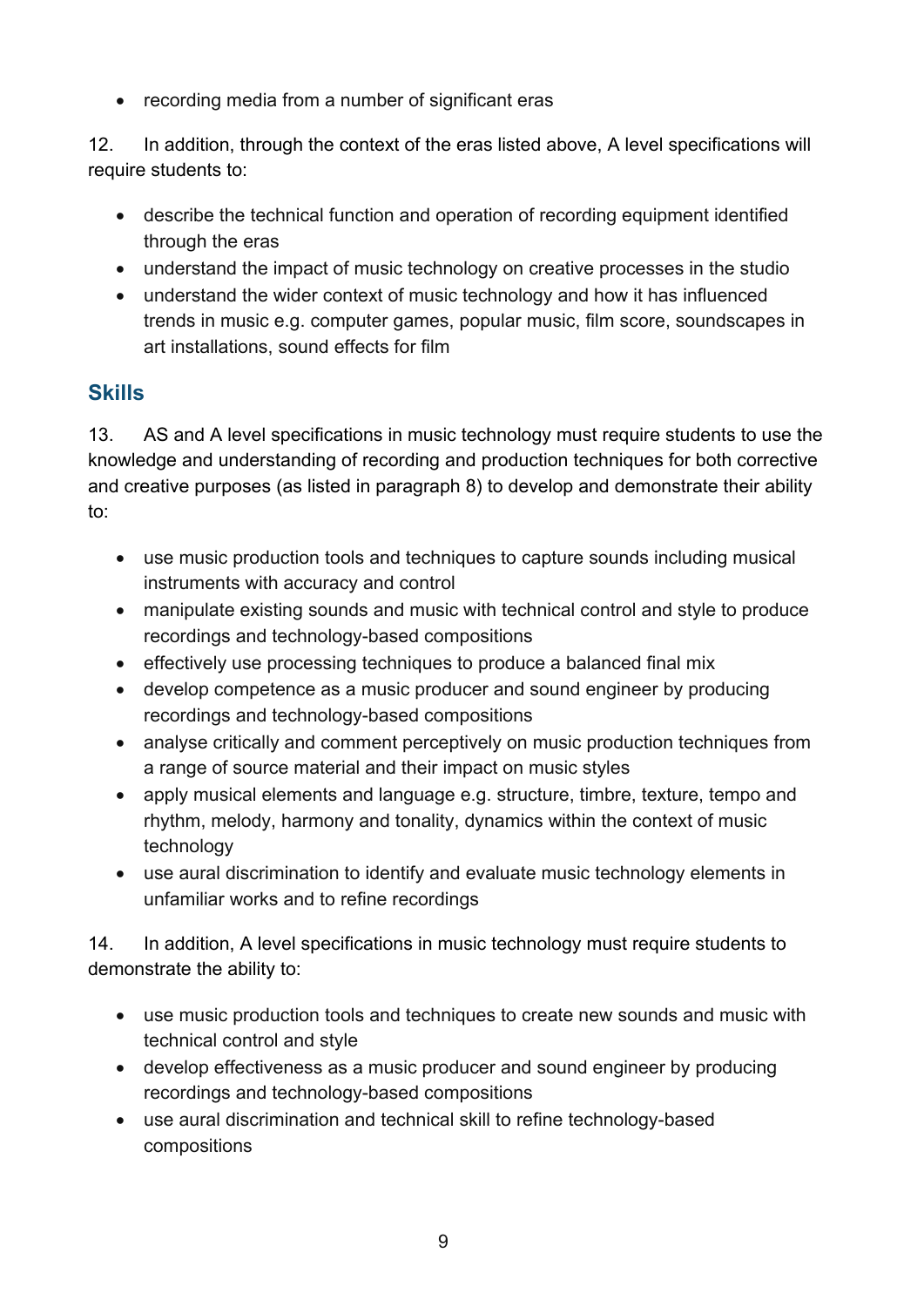• recording media from a number of significant eras

12. In addition, through the context of the eras listed above, A level specifications will require students to:

- describe the technical function and operation of recording equipment identified through the eras
- understand the impact of music technology on creative processes in the studio
- understand the wider context of music technology and how it has influenced trends in music e.g. computer games, popular music, film score, soundscapes in art installations, sound effects for film

#### <span id="page-20-0"></span>**Skills**

13. AS and A level specifications in music technology must require students to use the knowledge and understanding of recording and production techniques for both corrective and creative purposes (as listed in paragraph 8) to develop and demonstrate their ability to:

- use music production tools and techniques to capture sounds including musical instruments with accuracy and control
- manipulate existing sounds and music with technical control and style to produce recordings and technology-based compositions
- effectively use processing techniques to produce a balanced final mix
- develop competence as a music producer and sound engineer by producing recordings and technology-based compositions
- analyse critically and comment perceptively on music production techniques from a range of source material and their impact on music styles
- apply musical elements and language e.g. structure, timbre, texture, tempo and rhythm, melody, harmony and tonality, dynamics within the context of music technology
- use aural discrimination to identify and evaluate music technology elements in unfamiliar works and to refine recordings

14. In addition, A level specifications in music technology must require students to demonstrate the ability to:

- use music production tools and techniques to create new sounds and music with technical control and style
- develop effectiveness as a music producer and sound engineer by producing recordings and technology-based compositions
- use aural discrimination and technical skill to refine technology-based compositions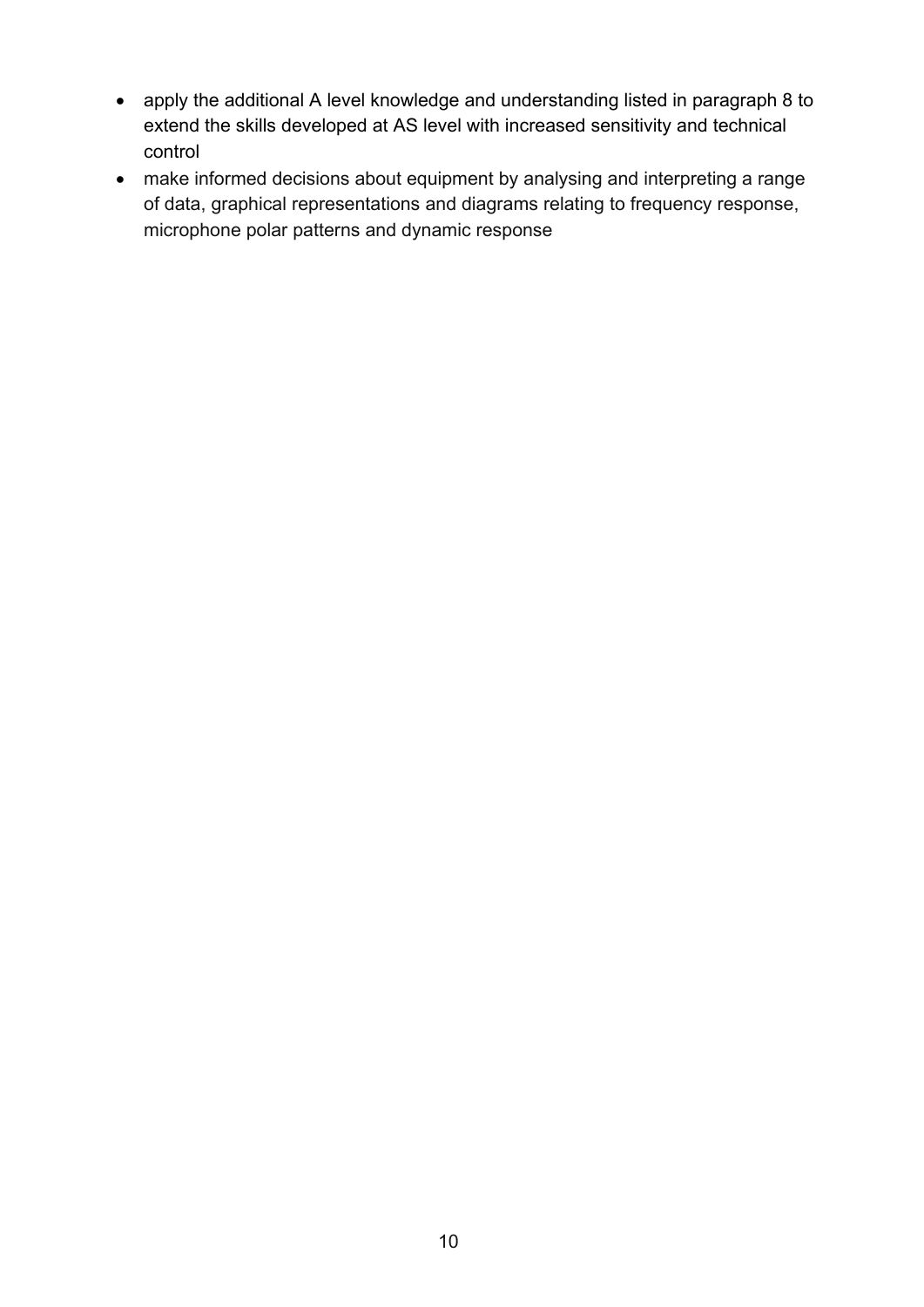- apply the additional A level knowledge and understanding listed in paragraph 8 to extend the skills developed at AS level with increased sensitivity and technical control
- make informed decisions about equipment by analysing and interpreting a range of data, graphical representations and diagrams relating to frequency response, microphone polar patterns and dynamic response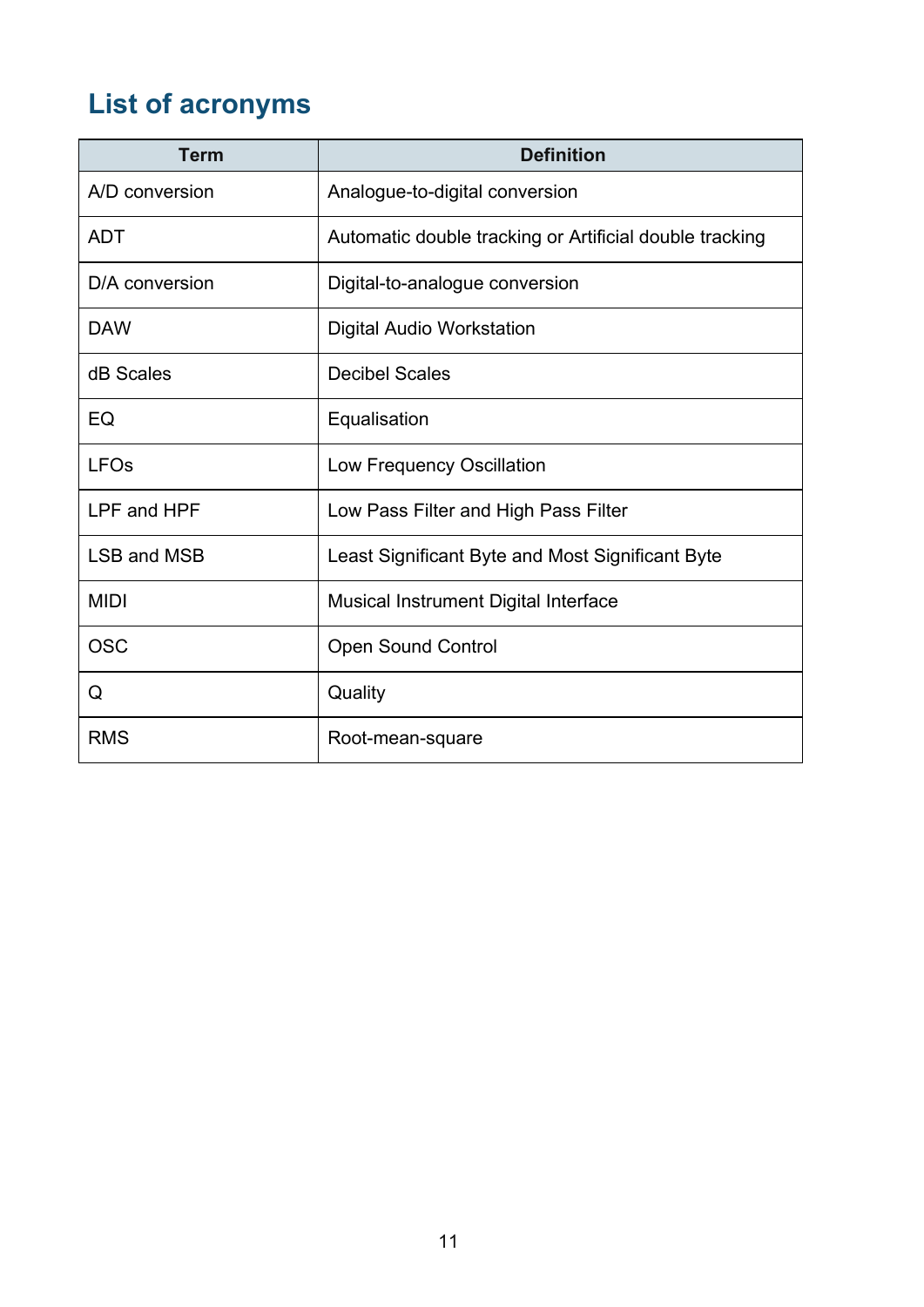# <span id="page-22-0"></span>**List of acronyms**

| <b>Term</b>        | <b>Definition</b>                                       |
|--------------------|---------------------------------------------------------|
| A/D conversion     | Analogue-to-digital conversion                          |
| <b>ADT</b>         | Automatic double tracking or Artificial double tracking |
| D/A conversion     | Digital-to-analogue conversion                          |
| <b>DAW</b>         | <b>Digital Audio Workstation</b>                        |
| dB Scales          | <b>Decibel Scales</b>                                   |
| EQ                 | Equalisation                                            |
| <b>LFOs</b>        | Low Frequency Oscillation                               |
| LPF and HPF        | Low Pass Filter and High Pass Filter                    |
| <b>LSB and MSB</b> | Least Significant Byte and Most Significant Byte        |
| <b>MIDI</b>        | <b>Musical Instrument Digital Interface</b>             |
| <b>OSC</b>         | <b>Open Sound Control</b>                               |
| Q                  | Quality                                                 |
| <b>RMS</b>         | Root-mean-square                                        |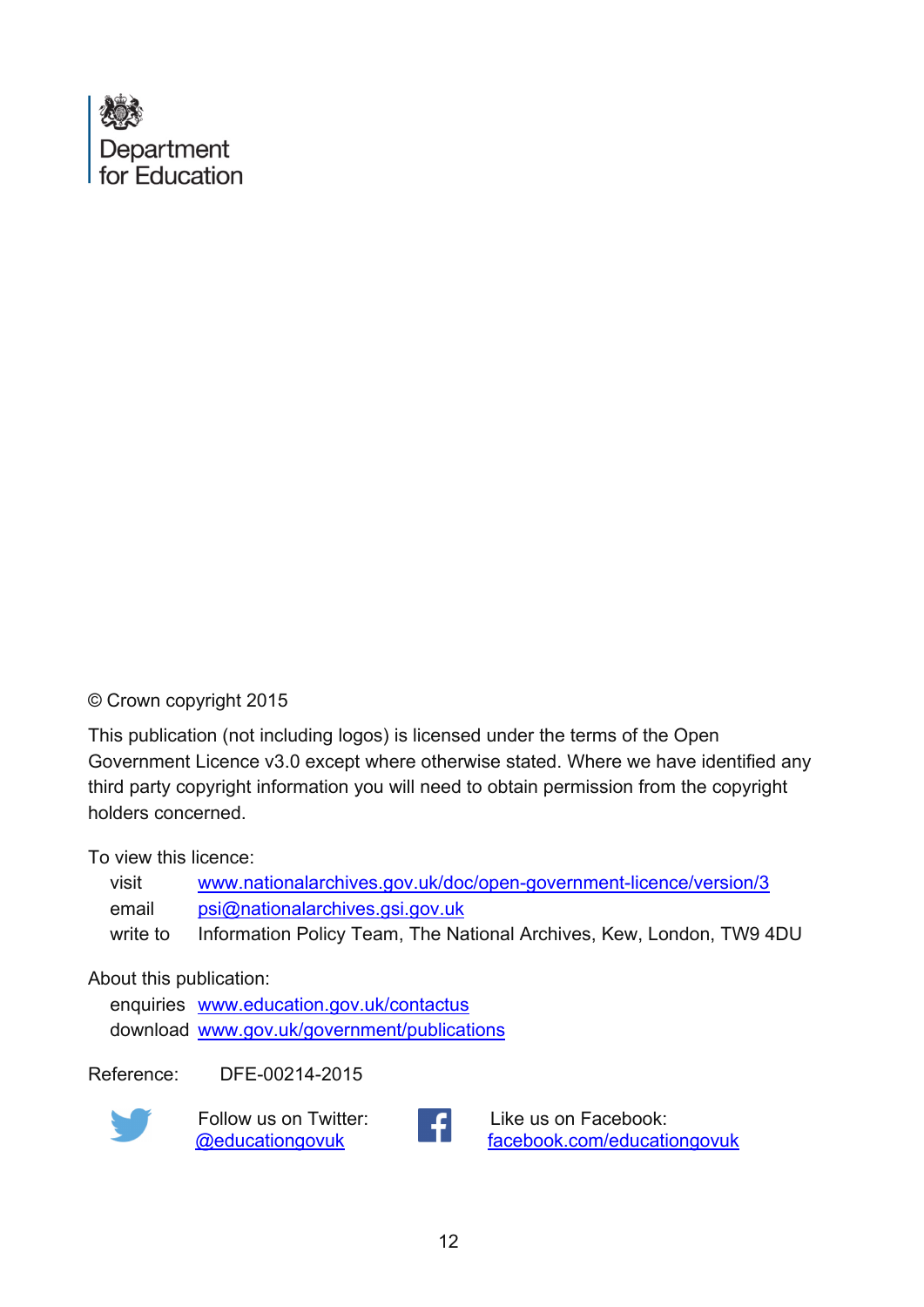

#### © Crown copyright 2015

This publication (not including logos) is licensed under the terms of the Open Government Licence v3.0 except where otherwise stated. Where we have identified any third party copyright information you will need to obtain permission from the copyright holders concerned.

To view this licence:

| visit    | www.nationalarchives.gov.uk/doc/open-government-licence/version/3    |
|----------|----------------------------------------------------------------------|
| email    | psi@nationalarchives.gsi.gov.uk                                      |
| write to | Information Policy Team, The National Archives, Kew, London, TW9 4DU |

#### About this publication:

enquiries [www.education.gov.uk/contactus](http://www.education.gov.uk/contactus)  download www.gov.uk/government/publications

Reference: DFE-00214-2015



Follow us on Twitter:<br> **CONFINENTIAL CONFIDENT** 



Like us on Facebook: [facebook.com/educationgovuk](http://www.facebook.com/educationgovuk)